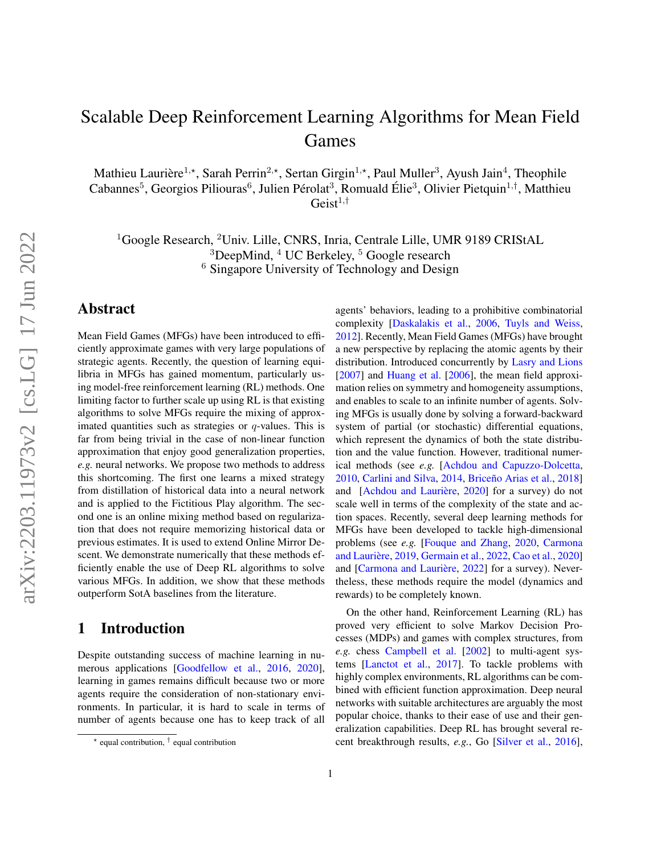# Scalable Deep Reinforcement Learning Algorithms for Mean Field Games

Mathieu Laurière<sup>1,\*</sup>, Sarah Perrin<sup>2,\*</sup>, Sertan Girgin<sup>1,\*</sup>, Paul Muller<sup>3</sup>, Ayush Jain<sup>4</sup>, Theophile Cabannes<sup>5</sup>, Georgios Piliouras<sup>6</sup>, Julien Pérolat<sup>3</sup>, Romuald Élie<sup>3</sup>, Olivier Pietquin<sup>1,†</sup>, Matthieu  $Geist^{1,\dagger}$ 

<sup>1</sup>Google Research, <sup>2</sup>Univ. Lille, CNRS, Inria, Centrale Lille, UMR 9189 CRIStAL  $3$ DeepMind,  $4$  UC Berkeley,  $5$  Google research <sup>6</sup> Singapore University of Technology and Design

# Abstract

Mean Field Games (MFGs) have been introduced to efficiently approximate games with very large populations of strategic agents. Recently, the question of learning equilibria in MFGs has gained momentum, particularly using model-free reinforcement learning (RL) methods. One limiting factor to further scale up using RL is that existing algorithms to solve MFGs require the mixing of approximated quantities such as strategies or  $q$ -values. This is far from being trivial in the case of non-linear function approximation that enjoy good generalization properties, *e.g.* neural networks. We propose two methods to address this shortcoming. The first one learns a mixed strategy from distillation of historical data into a neural network and is applied to the Fictitious Play algorithm. The second one is an online mixing method based on regularization that does not require memorizing historical data or previous estimates. It is used to extend Online Mirror Descent. We demonstrate numerically that these methods efficiently enable the use of Deep RL algorithms to solve various MFGs. In addition, we show that these methods outperform SotA baselines from the literature.

# 1 Introduction

Despite outstanding success of machine learning in numerous applications [\[Goodfellow et al.,](#page-10-0) [2016,](#page-10-0) [2020\]](#page-10-1), learning in games remains difficult because two or more agents require the consideration of non-stationary environments. In particular, it is hard to scale in terms of number of agents because one has to keep track of all agents' behaviors, leading to a prohibitive combinatorial complexity [\[Daskalakis et al.,](#page-10-2) [2006,](#page-10-2) [Tuyls and Weiss,](#page-11-0) [2012\]](#page-11-0). Recently, Mean Field Games (MFGs) have brought a new perspective by replacing the atomic agents by their distribution. Introduced concurrently by [Lasry and Lions](#page-10-3) [\[2007\]](#page-10-3) and [Huang et al.](#page-10-4) [\[2006\]](#page-10-4), the mean field approximation relies on symmetry and homogeneity assumptions, and enables to scale to an infinite number of agents. Solving MFGs is usually done by solving a forward-backward system of partial (or stochastic) differential equations, which represent the dynamics of both the state distribution and the value function. However, traditional numerical methods (see *e.g.* [\[Achdou and Capuzzo-Dolcetta,](#page-9-0) [2010,](#page-9-0) [Carlini and Silva,](#page-9-1) [2014,](#page-9-1) Briceño Arias et al., [2018\]](#page-9-2) and [Achdou and Laurière, [2020\]](#page-9-3) for a survey) do not scale well in terms of the complexity of the state and action spaces. Recently, several deep learning methods for MFGs have been developed to tackle high-dimensional problems (see *e.g.* [\[Fouque and Zhang,](#page-10-5) [2020,](#page-10-5) [Carmona](#page-9-4) and Laurière, [2019,](#page-9-4) [Germain et al.,](#page-10-6) [2022,](#page-10-6) [Cao et al.,](#page-9-5) [2020\]](#page-9-5) and [Carmona and Laurière, [2022\]](#page-10-7) for a survey). Nevertheless, these methods require the model (dynamics and rewards) to be completely known.

On the other hand, Reinforcement Learning (RL) has proved very efficient to solve Markov Decision Processes (MDPs) and games with complex structures, from *e.g.* chess [Campbell et al.](#page-9-6) [\[2002\]](#page-9-6) to multi-agent systems [\[Lanctot et al.,](#page-10-8) [2017\]](#page-10-8). To tackle problems with highly complex environments, RL algorithms can be combined with efficient function approximation. Deep neural networks with suitable architectures are arguably the most popular choice, thanks to their ease of use and their generalization capabilities. Deep RL has brought several recent breakthrough results, *e.g.*, Go [\[Silver et al.,](#page-11-1) [2016\]](#page-11-1),

 $*$  equal contribution,  $\dagger$  equal contribution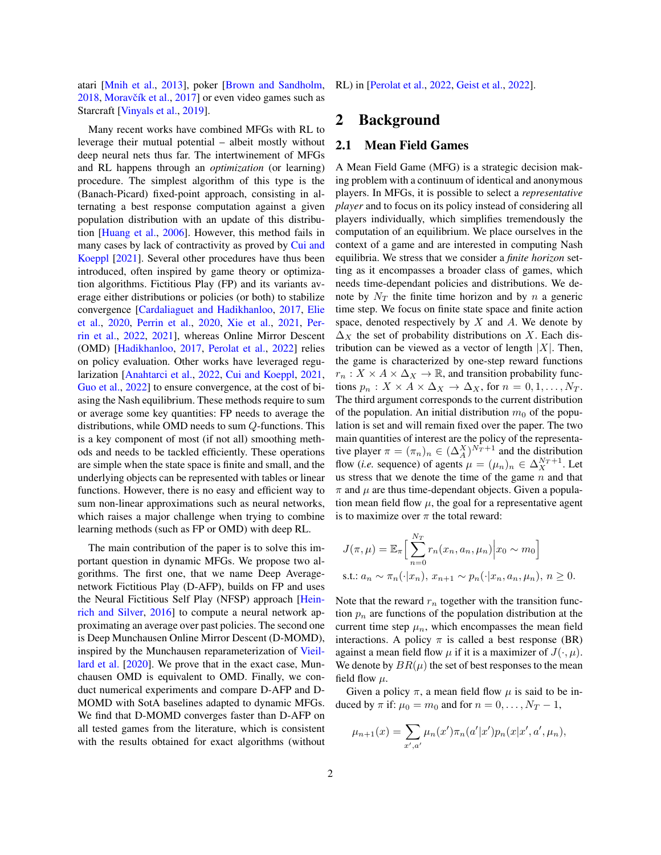atari [\[Mnih et al.,](#page-10-9) [2013\]](#page-10-9), poker [\[Brown and Sandholm,](#page-9-7) [2018,](#page-9-7) Moravčík et al., [2017\]](#page-10-10) or even video games such as Starcraft [\[Vinyals et al.,](#page-11-2) [2019\]](#page-11-2).

Many recent works have combined MFGs with RL to leverage their mutual potential – albeit mostly without deep neural nets thus far. The intertwinement of MFGs and RL happens through an *optimization* (or learning) procedure. The simplest algorithm of this type is the (Banach-Picard) fixed-point approach, consisting in alternating a best response computation against a given population distribution with an update of this distribution [\[Huang et al.,](#page-10-4) [2006\]](#page-10-4). However, this method fails in many cases by lack of contractivity as proved by [Cui and](#page-10-11) [Koeppl](#page-10-11) [\[2021\]](#page-10-11). Several other procedures have thus been introduced, often inspired by game theory or optimization algorithms. Fictitious Play (FP) and its variants average either distributions or policies (or both) to stabilize convergence [\[Cardaliaguet and Hadikhanloo,](#page-9-8) [2017,](#page-9-8) [Elie](#page-10-12) [et al.,](#page-10-12) [2020,](#page-10-12) [Perrin et al.,](#page-11-3) [2020,](#page-11-3) [Xie et al.,](#page-11-4) [2021,](#page-11-4) [Per](#page-11-5)[rin et al.,](#page-11-5) [2022,](#page-11-5) [2021\]](#page-11-6), whereas Online Mirror Descent (OMD) [\[Hadikhanloo,](#page-10-13) [2017,](#page-10-13) [Perolat et al.,](#page-11-7) [2022\]](#page-11-7) relies on policy evaluation. Other works have leveraged regularization [\[Anahtarci et al.,](#page-9-9) [2022,](#page-9-9) [Cui and Koeppl,](#page-10-11) [2021,](#page-10-11) [Guo et al.,](#page-10-14) [2022\]](#page-10-14) to ensure convergence, at the cost of biasing the Nash equilibrium. These methods require to sum or average some key quantities: FP needs to average the distributions, while OMD needs to sum Q-functions. This is a key component of most (if not all) smoothing methods and needs to be tackled efficiently. These operations are simple when the state space is finite and small, and the underlying objects can be represented with tables or linear functions. However, there is no easy and efficient way to sum non-linear approximations such as neural networks, which raises a major challenge when trying to combine learning methods (such as FP or OMD) with deep RL.

The main contribution of the paper is to solve this important question in dynamic MFGs. We propose two algorithms. The first one, that we name Deep Averagenetwork Fictitious Play (D-AFP), builds on FP and uses the Neural Fictitious Self Play (NFSP) approach [\[Hein](#page-10-15)[rich and Silver,](#page-10-15) [2016\]](#page-10-15) to compute a neural network approximating an average over past policies. The second one is Deep Munchausen Online Mirror Descent (D-MOMD), inspired by the Munchausen reparameterization of [Vieil](#page-11-8)[lard et al.](#page-11-8) [\[2020\]](#page-11-8). We prove that in the exact case, Munchausen OMD is equivalent to OMD. Finally, we conduct numerical experiments and compare D-AFP and D-MOMD with SotA baselines adapted to dynamic MFGs. We find that D-MOMD converges faster than D-AFP on all tested games from the literature, which is consistent with the results obtained for exact algorithms (without RL) in [\[Perolat et al.,](#page-11-7) [2022,](#page-11-7) [Geist et al.,](#page-10-16) [2022\]](#page-10-16).

# 2 Background

#### 2.1 Mean Field Games

A Mean Field Game (MFG) is a strategic decision making problem with a continuum of identical and anonymous players. In MFGs, it is possible to select a *representative player* and to focus on its policy instead of considering all players individually, which simplifies tremendously the computation of an equilibrium. We place ourselves in the context of a game and are interested in computing Nash equilibria. We stress that we consider a *finite horizon* setting as it encompasses a broader class of games, which needs time-dependant policies and distributions. We denote by  $N_T$  the finite time horizon and by n a generic time step. We focus on finite state space and finite action space, denoted respectively by  $X$  and  $A$ . We denote by  $\Delta_X$  the set of probability distributions on X. Each distribution can be viewed as a vector of length  $|X|$ . Then, the game is characterized by one-step reward functions  $r_n: X \times A \times \Delta_X \rightarrow \mathbb{R}$ , and transition probability functions  $p_n: X \times A \times \Delta_X \rightarrow \Delta_X$ , for  $n = 0, 1, \ldots, N_T$ . The third argument corresponds to the current distribution of the population. An initial distribution  $m_0$  of the population is set and will remain fixed over the paper. The two main quantities of interest are the policy of the representative player  $\pi = (\pi_n)_n \in (\Delta_A^X)^{N_T+1}$  and the distribution flow (*i.e.* sequence) of agents  $\mu = (\mu_n)_n \in \Delta_X^{N_T+1}$ . Let us stress that we denote the time of the game  $n$  and that  $\pi$  and  $\mu$  are thus time-dependant objects. Given a population mean field flow  $\mu$ , the goal for a representative agent is to maximize over  $\pi$  the total reward:

$$
J(\pi, \mu) = \mathbb{E}_{\pi} \Big[ \sum_{n=0}^{N_T} r_n(x_n, a_n, \mu_n) \Big| x_0 \sim m_0 \Big]
$$
  
s.t.:  $a_n \sim \pi_n(\cdot | x_n), x_{n+1} \sim p_n(\cdot | x_n, a_n, \mu_n), n \ge 0.$ 

Note that the reward  $r_n$  together with the transition function  $p_n$  are functions of the population distribution at the current time step  $\mu_n$ , which encompasses the mean field interactions. A policy  $\pi$  is called a best response (BR) against a mean field flow  $\mu$  if it is a maximizer of  $J(\cdot, \mu)$ . We denote by  $BR(\mu)$  the set of best responses to the mean field flow  $\mu$ .

Given a policy  $\pi$ , a mean field flow  $\mu$  is said to be induced by  $\pi$  if:  $\mu_0 = m_0$  and for  $n = 0, \ldots, N_T - 1$ ,

$$
\mu_{n+1}(x) = \sum_{x',a'} \mu_n(x') \pi_n(a'|x') p_n(x|x',a',\mu_n),
$$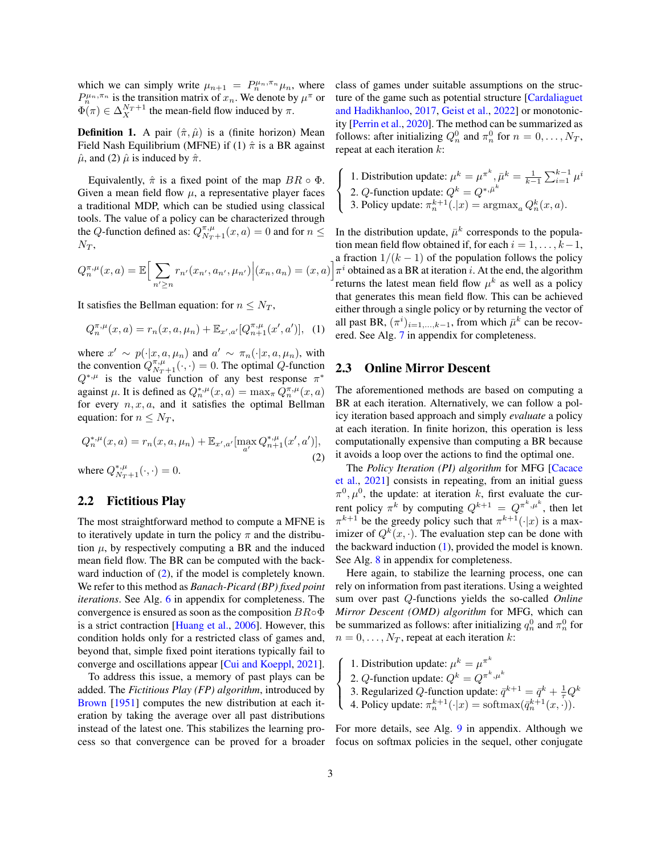which we can simply write  $\mu_{n+1} = P_n^{\mu_n, \pi_n} \mu_n$ , where  $P_n^{\mu_n, \pi_n}$  is the transition matrix of  $x_n$ . We denote by  $\mu^{\pi}$  or  $\Phi(\pi) \in \Delta_X^{N_T+1}$  the mean-field flow induced by  $\pi$ .

**Definition 1.** A pair  $(\hat{\pi}, \hat{\mu})$  is a (finite horizon) Mean Field Nash Equilibrium (MFNE) if (1)  $\hat{\pi}$  is a BR against  $\hat{\mu}$ , and (2)  $\hat{\mu}$  is induced by  $\hat{\pi}$ .

Equivalently,  $\hat{\pi}$  is a fixed point of the map  $BR \circ \Phi$ . Given a mean field flow  $\mu$ , a representative player faces a traditional MDP, which can be studied using classical tools. The value of a policy can be characterized through the Q-function defined as:  $Q_{N_T+1}^{\pi,\mu}(x, a) = 0$  and for  $n \leq$  $N_T$ ,

$$
Q_n^{\pi,\mu}(x,a) = \mathbb{E}\Big[\sum_{n' \ge n} r_{n'}(x_{n'}, a_{n'}, \mu_{n'}) \Big|(x_n, a_n) = (x,a)
$$

It satisfies the Bellman equation: for  $n \leq N_T$ ,

$$
Q_n^{\pi,\mu}(x,a) = r_n(x,a,\mu_n) + \mathbb{E}_{x',a'}[Q_{n+1}^{\pi,\mu}(x',a')], \tag{1}
$$

where  $x' \sim p(\cdot|x, a, \mu_n)$  and  $a' \sim \pi_n(\cdot|x, a, \mu_n)$ , with the convention  $Q_{N_T+1}^{\pi,\mu}(\cdot,\cdot) = 0$ . The optimal Q-function  $Q^{*,\mu}$  is the value function of any best response  $\pi^*$ against  $\mu$ . It is defined as  $Q_n^{*,\mu}(x,a) = \max_{\pi} Q_n^{\pi,\mu}(x,a)$ for every  $n, x, a$ , and it satisfies the optimal Bellman equation: for  $n \leq N_T$ ,

<span id="page-2-0"></span>
$$
Q_n^{*,\mu}(x,a) = r_n(x,a,\mu_n) + \mathbb{E}_{x',a'}[\max_{a'} Q_{n+1}^{*,\mu}(x',a')],
$$
\n(2)

where  $Q_{N_T+1}^{*,\mu}(\cdot,\cdot) = 0$ .

#### <span id="page-2-2"></span>2.2 Fictitious Play

The most straightforward method to compute a MFNE is to iteratively update in turn the policy  $\pi$  and the distribution  $\mu$ , by respectively computing a BR and the induced mean field flow. The BR can be computed with the backward induction of  $(2)$ , if the model is completely known. We refer to this method as *Banach-Picard (BP) fixed point iterations*. See Alg. [6](#page-13-0) in appendix for completeness. The convergence is ensured as soon as the composition  $BR \circ \Phi$ is a strict contraction [\[Huang et al.,](#page-10-4) [2006\]](#page-10-4). However, this condition holds only for a restricted class of games and, beyond that, simple fixed point iterations typically fail to converge and oscillations appear [\[Cui and Koeppl,](#page-10-11) [2021\]](#page-10-11).

To address this issue, a memory of past plays can be added. The *Fictitious Play (FP) algorithm*, introduced by [Brown](#page-9-10) [\[1951\]](#page-9-10) computes the new distribution at each iteration by taking the average over all past distributions instead of the latest one. This stabilizes the learning process so that convergence can be proved for a broader class of games under suitable assumptions on the structure of the game such as potential structure [\[Cardaliaguet](#page-9-8) [and Hadikhanloo,](#page-9-8) [2017,](#page-9-8) [Geist et al.,](#page-10-16) [2022\]](#page-10-16) or monotonicity [\[Perrin et al.,](#page-11-3) [2020\]](#page-11-3). The method can be summarized as follows: after initializing  $Q_n^0$  and  $\pi_n^0$  for  $n = 0, \ldots, N_T$ , repeat at each iteration k:

- $\sqrt{ }$  $\int$ 1. Distribution update:  $\mu^k = \mu^{\pi^k}$ ,  $\bar{\mu}^k = \frac{1}{k-1} \sum_{i=1}^{k-1} \mu^i$ 
	- 2. *Q*-function update:  $Q^k = Q^{*, \bar{\mu}^k}$

 $\overline{a}$ 

3. Policy update:  $\pi_n^{k+1}(.|x) = \operatorname{argmax}_a Q_n^k(x,a)$ .

<span id="page-2-1"></span> $\int \pi^i$  obtained as a BR at iteration *i*. At the end, the algorithm In the distribution update,  $\bar{\mu}^k$  corresponds to the population mean field flow obtained if, for each  $i = 1, \ldots, k-1$ , a fraction  $1/(k-1)$  of the population follows the policy returns the latest mean field flow  $\mu^k$  as well as a policy that generates this mean field flow. This can be achieved either through a single policy or by returning the vector of all past BR,  $(\pi^i)_{i=1,\dots,k-1}$ , from which  $\bar{\mu}^k$  can be recovered. See Alg. [7](#page-13-1) in appendix for completeness.

#### <span id="page-2-3"></span>2.3 Online Mirror Descent

The aforementioned methods are based on computing a BR at each iteration. Alternatively, we can follow a policy iteration based approach and simply *evaluate* a policy at each iteration. In finite horizon, this operation is less computationally expensive than computing a BR because it avoids a loop over the actions to find the optimal one.

The *Policy Iteration (PI) algorithm* for MFG [\[Cacace](#page-9-11) [et al.,](#page-9-11) [2021\]](#page-9-11) consists in repeating, from an initial guess  $\pi^0, \mu^0$ , the update: at iteration k, first evaluate the current policy  $\pi^k$  by computing  $Q^{k+1} = Q^{\pi^k, \mu^k}$ , then let  $\pi^{k+1}$  be the greedy policy such that  $\pi^{k+1}(\cdot|x)$  is a maximizer of  $Q^k(x, \cdot)$ . The evaluation step can be done with the backward induction  $(1)$ , provided the model is known. See Alg. [8](#page-14-0) in appendix for completeness.

Here again, to stabilize the learning process, one can rely on information from past iterations. Using a weighted sum over past Q-functions yields the so-called *Online Mirror Descent (OMD) algorithm* for MFG, which can be summarized as follows: after initializing  $q_n^0$  and  $\pi_n^0$  for  $n = 0, \ldots, N_T$ , repeat at each iteration k:

- 1. Distribution update:  $\mu^k = \mu^{\pi^k}$
- $\int$ 2.  $Q$ -function update:  $Q^k = Q^{\pi^k, \mu^k}$ 
	- 3. Regularized Q-function update:  $\bar{q}^{k+1} = \bar{q}^k + \frac{1}{\tau} Q^k$
	- 4. Policy update:  $\pi_n^{k+1}(\cdot|x) = \text{softmax}(\bar{q}_n^{k+1}(x, \cdot)).$

For more details, see Alg. [9](#page-14-1) in appendix. Although we focus on softmax policies in the sequel, other conjugate

 $\sqrt{ }$ 

 $\overline{\mathcal{L}}$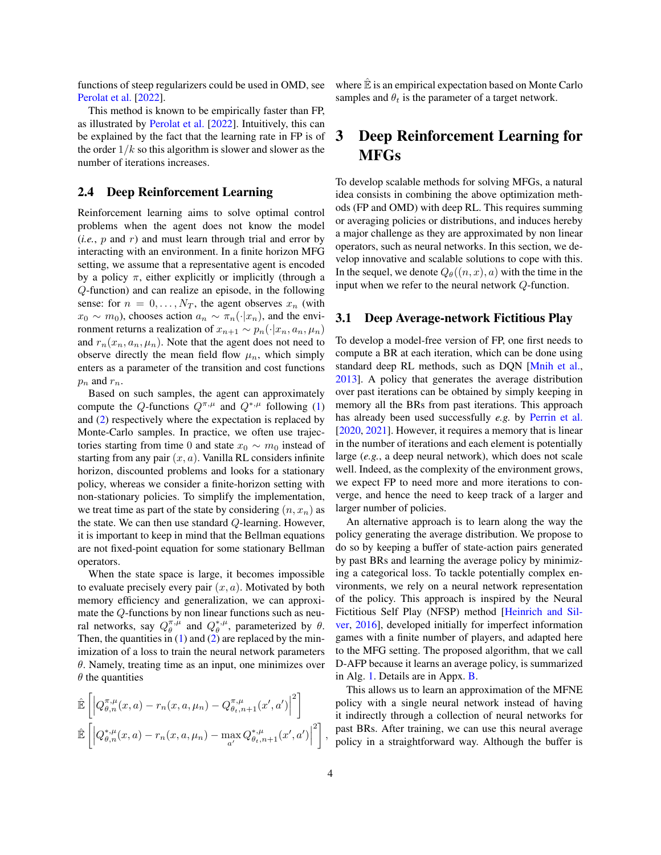functions of steep regularizers could be used in OMD, see [Perolat et al.](#page-11-7) [\[2022\]](#page-11-7).

This method is known to be empirically faster than FP, as illustrated by [Perolat et al.](#page-11-7) [\[2022\]](#page-11-7). Intuitively, this can be explained by the fact that the learning rate in FP is of the order  $1/k$  so this algorithm is slower and slower as the number of iterations increases.

#### 2.4 Deep Reinforcement Learning

Reinforcement learning aims to solve optimal control problems when the agent does not know the model  $(i.e., p and r)$  and must learn through trial and error by interacting with an environment. In a finite horizon MFG setting, we assume that a representative agent is encoded by a policy  $\pi$ , either explicitly or implicitly (through a Q-function) and can realize an episode, in the following sense: for  $n = 0, \ldots, N_T$ , the agent observes  $x_n$  (with  $x_0 \sim m_0$ ), chooses action  $a_n \sim \pi_n(\cdot|x_n)$ , and the environment returns a realization of  $x_{n+1} \sim p_n(\cdot|x_n, a_n, \mu_n)$ and  $r_n(x_n, a_n, \mu_n)$ . Note that the agent does not need to observe directly the mean field flow  $\mu_n$ , which simply enters as a parameter of the transition and cost functions  $p_n$  and  $r_n$ .

Based on such samples, the agent can approximately compute the Q-functions  $Q^{\pi,\mu}$  and  $Q^{*,\mu}$  following [\(1\)](#page-2-1) and [\(2\)](#page-2-0) respectively where the expectation is replaced by Monte-Carlo samples. In practice, we often use trajectories starting from time 0 and state  $x_0 \sim m_0$  instead of starting from any pair  $(x, a)$ . Vanilla RL considers infinite horizon, discounted problems and looks for a stationary policy, whereas we consider a finite-horizon setting with non-stationary policies. To simplify the implementation, we treat time as part of the state by considering  $(n, x_n)$  as the state. We can then use standard Q-learning. However, it is important to keep in mind that the Bellman equations are not fixed-point equation for some stationary Bellman operators.

When the state space is large, it becomes impossible to evaluate precisely every pair  $(x, a)$ . Motivated by both memory efficiency and generalization, we can approximate the Q-functions by non linear functions such as neural networks, say  $Q_{\theta}^{\pi,\mu}$  and  $Q_{\theta}^{*,\mu}$ , parameterized by  $\theta$ . Then, the quantities in  $(1)$  and  $(2)$  are replaced by the minimization of a loss to train the neural network parameters  $\theta$ . Namely, treating time as an input, one minimizes over  $\theta$  the quantities

$$
\hat{\mathbb{E}}\left[\left|Q_{\theta,n}^{\pi,\mu}(x,a)-r_n(x,a,\mu_n)-Q_{\theta,t,n+1}^{\pi,\mu}(x',a')\right|^2\right]
$$
\n
$$
\hat{\mathbb{E}}\left[\left|Q_{\theta,n}^{*,\mu}(x,a)-r_n(x,a,\mu_n)-\max_{a'}Q_{\theta,t,n+1}^{*,\mu}(x',a')\right|^2\right],
$$

where  $\hat{\mathbb{E}}$  is an empirical expectation based on Monte Carlo samples and  $\theta_t$  is the parameter of a target network.

# 3 Deep Reinforcement Learning for MFGs

To develop scalable methods for solving MFGs, a natural idea consists in combining the above optimization methods (FP and OMD) with deep RL. This requires summing or averaging policies or distributions, and induces hereby a major challenge as they are approximated by non linear operators, such as neural networks. In this section, we develop innovative and scalable solutions to cope with this. In the sequel, we denote  $Q_{\theta}((n, x), a)$  with the time in the input when we refer to the neural network Q-function.

#### 3.1 Deep Average-network Fictitious Play

To develop a model-free version of FP, one first needs to compute a BR at each iteration, which can be done using standard deep RL methods, such as DQN [\[Mnih et al.,](#page-10-9) [2013\]](#page-10-9). A policy that generates the average distribution over past iterations can be obtained by simply keeping in memory all the BRs from past iterations. This approach has already been used successfully *e.g.* by [Perrin et al.](#page-11-3) [\[2020,](#page-11-3) [2021\]](#page-11-6). However, it requires a memory that is linear in the number of iterations and each element is potentially large (*e.g.*, a deep neural network), which does not scale well. Indeed, as the complexity of the environment grows, we expect FP to need more and more iterations to converge, and hence the need to keep track of a larger and larger number of policies.

An alternative approach is to learn along the way the policy generating the average distribution. We propose to do so by keeping a buffer of state-action pairs generated by past BRs and learning the average policy by minimizing a categorical loss. To tackle potentially complex environments, we rely on a neural network representation of the policy. This approach is inspired by the Neural Fictitious Self Play (NFSP) method [\[Heinrich and Sil](#page-10-15)[ver,](#page-10-15) [2016\]](#page-10-15), developed initially for imperfect information games with a finite number of players, and adapted here to the MFG setting. The proposed algorithm, that we call D-AFP because it learns an average policy, is summarized in Alg. [1.](#page-4-0) Details are in Appx. [B.](#page-15-0)

This allows us to learn an approximation of the MFNE policy with a single neural network instead of having it indirectly through a collection of neural networks for past BRs. After training, we can use this neural average policy in a straightforward way. Although the buffer is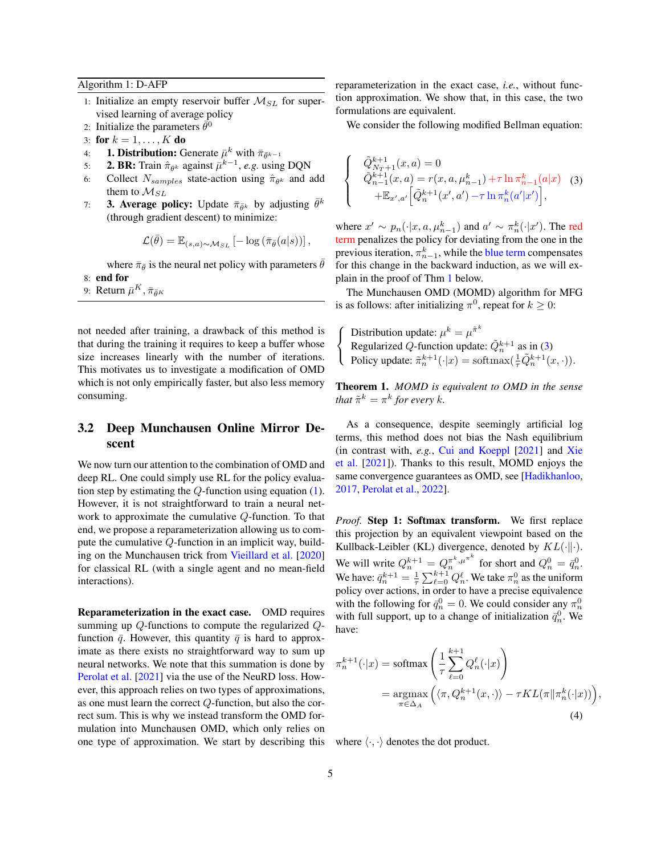<span id="page-4-0"></span>Algorithm 1: D-AFP

- 1: Initialize an empty reservoir buffer  $M_{SL}$  for supervised learning of average policy
- 2: Initialize the parameters  $\vec{\theta}^0$
- 3: for  $k = 1, ..., K$  do
- 4: **1. Distribution:** Generate  $\bar{\mu}^k$  with  $\bar{\pi}_{\bar{\theta}^{k-1}}$
- 5: **2. BR:** Train  $\hat{\pi}_{\theta^k}$  against  $\bar{\mu}^{k-1}$ , *e.g.* using DQN
- 6: Collect  $N_{samples}$  state-action using  $\hat{\pi}_{\theta^k}$  and add them to  $M_{SL}$
- 7: **3. Average policy:** Update  $\bar{\pi}_{\bar{\theta}^k}$  by adjusting  $\bar{\theta}^k$ (through gradient descent) to minimize:

$$
\mathcal{L}(\bar{\theta}) = \mathbb{E}_{(s,a)\sim \mathcal{M}_{SL}}[-\log(\bar{\pi}_{\bar{\theta}}(a|s))],
$$

where  $\bar{\pi}_{\bar{\theta}}$  is the neural net policy with parameters  $\bar{\theta}$ 8: end for

9: Return  $\bar{\mu}^K, \bar{\pi}_{\bar{\theta}^K}$ 

not needed after training, a drawback of this method is that during the training it requires to keep a buffer whose size increases linearly with the number of iterations. This motivates us to investigate a modification of OMD which is not only empirically faster, but also less memory consuming.

### 3.2 Deep Munchausen Online Mirror Descent

We now turn our attention to the combination of OMD and deep RL. One could simply use RL for the policy evaluation step by estimating the  $Q$ -function using equation  $(1)$ . However, it is not straightforward to train a neural network to approximate the cumulative Q-function. To that end, we propose a reparameterization allowing us to compute the cumulative Q-function in an implicit way, building on the Munchausen trick from [Vieillard et al.](#page-11-8) [\[2020\]](#page-11-8) for classical RL (with a single agent and no mean-field interactions).

Reparameterization in the exact case. OMD requires summing up Q-functions to compute the regularized Qfunction  $\bar{q}$ . However, this quantity  $\bar{q}$  is hard to approximate as there exists no straightforward way to sum up neural networks. We note that this summation is done by [Perolat et al.](#page-11-9) [\[2021\]](#page-11-9) via the use of the NeuRD loss. However, this approach relies on two types of approximations, as one must learn the correct Q-function, but also the correct sum. This is why we instead transform the OMD formulation into Munchausen OMD, which only relies on one type of approximation. We start by describing this reparameterization in the exact case, *i.e.*, without function approximation. We show that, in this case, the two formulations are equivalent.

 $\sqrt{ }$  $\int$ 

 $\overline{\mathcal{L}}$ 

<span id="page-4-2"></span>We consider the following modified Bellman equation:

$$
\tilde{Q}_{N_T+1}^{k+1}(x, a) = 0
$$
  
\n
$$
\tilde{Q}_{n-1}^{k+1}(x, a) = r(x, a, \mu_{n-1}^k) + \tau \ln \pi_{n-1}^k(a|x)
$$
 (3)  
\n
$$
+\mathbb{E}_{x', a'} \Big[ \tilde{Q}_n^{k+1}(x', a') - \tau \ln \pi_n^k(a'|x') \Big],
$$

where  $x' \sim p_n(\cdot|x, a, \mu_{n-1}^k)$  and  $a' \sim \pi_n^k(\cdot|x')$ . The red term penalizes the policy for deviating from the one in the previous iteration,  $\pi_{n-1}^k$ , while the blue term compensates for this change in the backward induction, as we will explain in the proof of Thm [1](#page-4-1) below.

The Munchausen OMD (MOMD) algorithm for MFG is as follows: after initializing  $\pi^0$ , repeat for  $k \geq 0$ :

 $\sqrt{ }$ J  $\mathcal{L}$ Distribution update:  $\mu^k = \mu^{\tilde{\pi}^k}$ Regularized Q-function update:  $\tilde{Q}_n^{k+1}$  as in [\(3\)](#page-4-2) Policy update:  $\tilde{\pi}_n^{k+1}(\cdot|x) = \text{softmax}(\frac{1}{\tau}\tilde{Q}_n^{k+1}(x,\cdot)).$ 

<span id="page-4-1"></span>Theorem 1. *MOMD is equivalent to OMD in the sense that*  $\tilde{\pi}^k = \pi^k$  for every k.

As a consequence, despite seemingly artificial log terms, this method does not bias the Nash equilibrium (in contrast with, *e.g.*, [Cui and Koeppl](#page-10-11) [\[2021\]](#page-10-11) and [Xie](#page-11-4) [et al.](#page-11-4) [\[2021\]](#page-11-4)). Thanks to this result, MOMD enjoys the same convergence guarantees as OMD, see [\[Hadikhanloo,](#page-10-13) [2017,](#page-10-13) [Perolat et al.,](#page-11-7) [2022\]](#page-11-7).

*Proof.* Step 1: Softmax transform. We first replace this projection by an equivalent viewpoint based on the Kullback-Leibler (KL) divergence, denoted by  $KL(\cdot||\cdot)$ . We will write  $Q_n^{k+1} = Q_n^{\pi^k, \mu^{\pi^k}}$  for short and  $Q_n^0 = \bar{q}_n^0$ . We have:  $\bar{q}_n^{k+1} = \frac{1}{\tau} \sum_{\ell=0}^{k+1} Q_n^{\ell}$ . We take  $\pi_n^0$  as the uniform policy over actions, in order to have a precise equivalence with the following for  $\bar{q}_n^0 = 0$ . We could consider any  $\pi_n^0$ with full support, up to a change of initialization  $\bar{q}_n^0$ . We have:

$$
\pi_n^{k+1}(\cdot|x) = \text{softmax}\left(\frac{1}{\tau} \sum_{\ell=0}^{k+1} Q_n^{\ell}(\cdot|x)\right)
$$

$$
= \underset{\pi \in \Delta_A}{\text{argmax}} \left(\langle \pi, Q_n^{k+1}(x, \cdot) \rangle - \tau KL(\pi || \pi_n^k(\cdot | x))\right),
$$
(4)

<span id="page-4-3"></span>where  $\langle \cdot, \cdot \rangle$  denotes the dot product.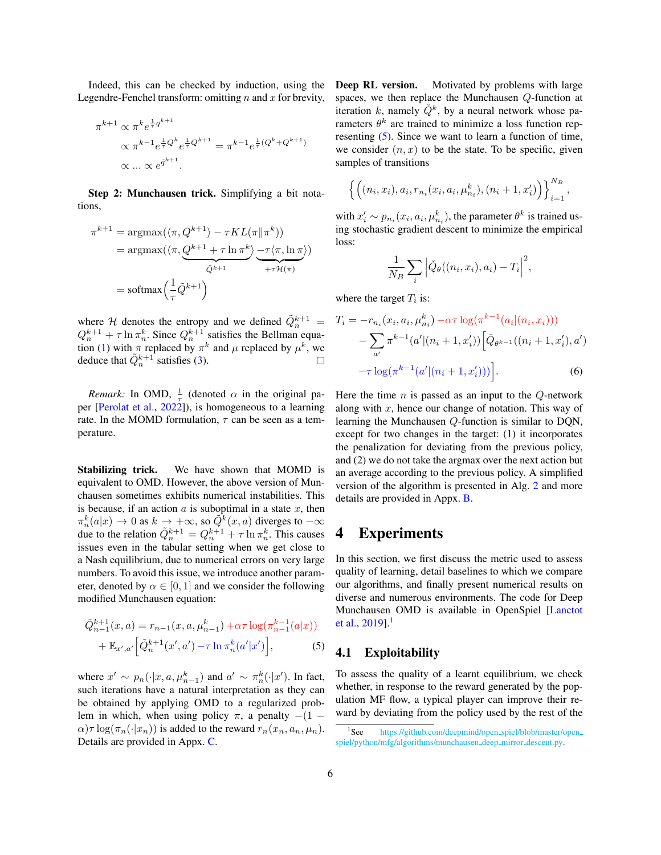Indeed, this can be checked by induction, using the Legendre-Fenchel transform: omitting  $n$  and  $x$  for brevity,

$$
\pi^{k+1} \propto \pi^k e^{\frac{1}{\tau} q^{k+1}} \propto \pi^{k-1} e^{\frac{1}{\tau} Q^k} e^{\frac{1}{\tau} Q^{k+1}} = \pi^{k-1} e^{\frac{1}{\tau} (Q^k + Q^{k+1})} \propto \dots \propto e^{\bar{q}^{k+1}}.
$$

Step 2: Munchausen trick. Simplifying a bit notations,

$$
\pi^{k+1} = \operatorname{argmax}(\langle \pi, Q^{k+1} \rangle - \tau KL(\pi \| \pi^k))
$$
  
= 
$$
\operatorname{argmax}(\langle \pi, \underbrace{Q^{k+1} + \tau \ln \pi^k}_{\tilde{Q}^{k+1}} \underbrace{-\tau \langle \pi, \ln \pi \rangle}_{+ \tau \mathcal{H}(\pi)})
$$
  
= 
$$
\operatorname{softmax}\left(\frac{1}{\tau} \tilde{Q}^{k+1}\right)
$$

where H denotes the entropy and we defined  $\tilde{Q}_n^{k+1}$  =  $Q_n^{k+1} + \tau \ln \pi_n^k$ . Since  $Q_n^{k+1}$  satisfies the Bellman equa-tion [\(1\)](#page-2-1) with  $\pi$  replaced by  $\pi^k$  and  $\mu$  replaced by  $\mu^k$ , we deduce that  $\tilde{Q}_n^{k+1}$  satisfies [\(3\)](#page-4-2).  $\Box$ 

*Remark:* In OMD,  $\frac{1}{\tau}$  (denoted  $\alpha$  in the original paper [\[Perolat et al.,](#page-11-7) [2022\]](#page-11-7)), is homogeneous to a learning rate. In the MOMD formulation,  $\tau$  can be seen as a temperature.

Stabilizing trick. We have shown that MOMD is equivalent to OMD. However, the above version of Munchausen sometimes exhibits numerical instabilities. This is because, if an action  $a$  is suboptimal in a state  $x$ , then  $\pi_n^k(a|x) \to 0$  as  $k \to +\infty$ , so  $\tilde{Q}^k(x, a)$  diverges to  $-\infty$ due to the relation  $\tilde{Q}_n^{k+1} = Q_n^{k+1} + \tau \ln \pi_n^k$ . This causes issues even in the tabular setting when we get close to a Nash equilibrium, due to numerical errors on very large numbers. To avoid this issue, we introduce another parameter, denoted by  $\alpha \in [0, 1]$  and we consider the following modified Munchausen equation:

$$
\tilde{Q}_{n-1}^{k+1}(x, a) = r_{n-1}(x, a, \mu_{n-1}^k) + \alpha \tau \log(\pi_{n-1}^{k-1}(a|x)) \n+ \mathbb{E}_{x', a'} \left[ \tilde{Q}_n^{k+1}(x', a') - \tau \ln \pi_n^k(a'|x') \right],
$$
\n(5)

where  $x' \sim p_n(\cdot|x, a, \mu_{n-1}^k)$  and  $a' \sim \pi_n^k(\cdot|x')$ . In fact, such iterations have a natural interpretation as they can be obtained by applying OMD to a regularized problem in which, when using policy  $\pi$ , a penalty  $-(1 \alpha$ ) $\tau$  log( $\pi_n(\cdot|x_n)$ ) is added to the reward  $r_n(x_n, a_n, \mu_n)$ . Details are provided in Appx. [C.](#page-17-0)

Deep RL version. Motivated by problems with large spaces, we then replace the Munchausen Q-function at iteration k, namely  $\check{Q}^k$ , by a neural network whose parameters  $\theta^k$  are trained to minimize a loss function representing [\(5\)](#page-5-0). Since we want to learn a function of time, we consider  $(n, x)$  to be the state. To be specific, given samples of transitions

$$
\left\{ \left( (n_i, x_i), a_i, r_{n_i}(x_i, a_i, \mu_{n_i}^k), (n_i + 1, x'_i) \right) \right\}_{i=1}^{N_B},
$$

with  $x'_i \sim p_{n_i}(x_i, a_i, \mu_{n_i}^k)$ , the parameter  $\theta^k$  is trained using stochastic gradient descent to minimize the empirical loss:

<span id="page-5-2"></span>
$$
\frac{1}{N_B} \sum_i \left| \check{Q}_{\theta}((n_i, x_i), a_i) - T_i \right|^2,
$$

where the target  $T_i$  is:

$$
T_i = -r_{n_i}(x_i, a_i, \mu_{n_i}^k) - \alpha \tau \log(\pi^{k-1}(a_i|(n_i, x_i)))
$$

$$
- \sum_{a'} \pi^{k-1}(a'|(n_i + 1, x_i')) \left[ \check{Q}_{\theta^{k-1}}((n_i + 1, x_i'), a') \right]
$$

$$
- \tau \log(\pi^{k-1}(a'|(n_i + 1, x_i')))\right]. \tag{6}
$$

Here the time  $n$  is passed as an input to the  $Q$ -network along with  $x$ , hence our change of notation. This way of learning the Munchausen Q-function is similar to DQN, except for two changes in the target: (1) it incorporates the penalization for deviating from the previous policy, and (2) we do not take the argmax over the next action but an average according to the previous policy. A simplified version of the algorithm is presented in Alg. [2](#page-6-0) and more details are provided in Appx. [B.](#page-15-0)

# 4 Experiments

In this section, we first discuss the metric used to assess quality of learning, detail baselines to which we compare our algorithms, and finally present numerical results on diverse and numerous environments. The code for Deep Munchausen OMD is available in OpenSpiel [\[Lanctot](#page-10-17) [et al.,](#page-10-17)  $2019$  $2019$  $2019$ ].<sup>1</sup>

### <span id="page-5-0"></span>4.1 Exploitability

To assess the quality of a learnt equilibrium, we check whether, in response to the reward generated by the population MF flow, a typical player can improve their reward by deviating from the policy used by the rest of the

<span id="page-5-1"></span><sup>&</sup>lt;sup>1</sup>See [https://github.com/deepmind/open](https://github.com/deepmind/open_spiel/blob/master/open_spiel/python/mfg/algorithms/munchausen_deep_mirror_descent.py)\_spiel/blob/master/open\_ [spiel/python/mfg/algorithms/munchausen](https://github.com/deepmind/open_spiel/blob/master/open_spiel/python/mfg/algorithms/munchausen_deep_mirror_descent.py) deep mirror descent.py.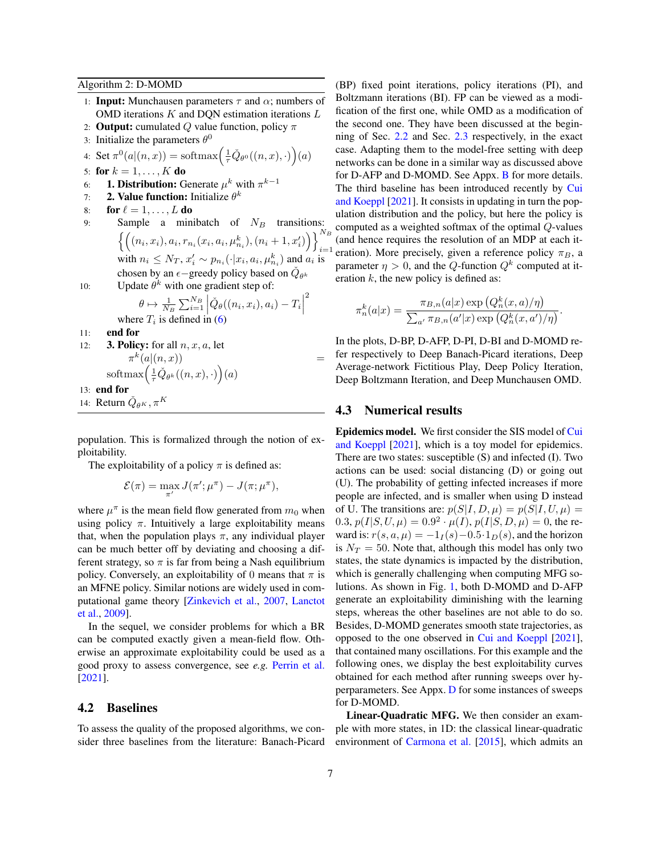<span id="page-6-0"></span>Algorithm 2: D-MOMD

- 1: **Input:** Munchausen parameters  $\tau$  and  $\alpha$ ; numbers of OMD iterations  $K$  and DQN estimation iterations  $L$
- 2: **Output:** cumulated Q value function, policy  $\pi$
- 3: Initialize the parameters  $\theta^0$
- 4: Set  $\pi^0(a|(n,x)) = \text{softmax}\left(\frac{1}{\tau}\check{Q}_{\theta^0}((n,x),\cdot)\right)(a)$
- 5: for  $k = 1, ..., K$  do
- 6: **1. Distribution:** Generate  $\mu^k$  with  $\pi^{k-1}$
- 7: **2. Value function:** Initialize  $\theta^k$
- 8: for  $\ell = 1, \ldots, L$  do
- 9: Sample a minibatch of  $N_B$  transitions:  $\left\{ \left( (n_i, x_i), a_i, r_{n_i}(x_i, a_i, \mu_{n_i}^k), (n_i + 1, x'_i) \right) \right\}_{i=1}^{N_B}$  $i=1$ with  $n_i \leq N_T$ ,  $x'_i \sim p_{n_i}(\cdot | x_i, a_i, \mu_{n_i}^k)$  and  $a_i$  is chosen by an  $\epsilon$  –greedy policy based on  $\check{Q}_{\theta^k}$
- 10: Update  $\theta^k$  with one gradient step of:

$$
\theta \mapsto \frac{1}{N_B} \sum_{i=1}^{N_B} \left| \check{Q}_{\theta}((n_i, x_i), a_i) - T_i \right|
$$
  
where  $T_i$  is defined in (6)  
11: end for

 $\begin{array}{c} \begin{array}{c} \begin{array}{c} \end{array} \\ \begin{array}{c} \end{array} \end{array} \end{array}$ 2

- 12: **3. Policy:** for all  $n, x, a$ , let  $\pi^k(a|(n,x))$  =  $\mathrm{softmax}\left(\frac{1}{\tau}\check{Q}_{\theta^k}((n,x),\cdot)\right)(a)$ 13: end for
- 14: Return  $\check{Q}_{\theta^K}, \pi^K$

population. This is formalized through the notion of exploitability.

The exploitability of a policy  $\pi$  is defined as:

$$
\mathcal{E}(\pi) = \max_{\pi'} J(\pi'; \mu^{\pi}) - J(\pi; \mu^{\pi}),
$$

where  $\mu^{\pi}$  is the mean field flow generated from  $m_0$  when using policy  $\pi$ . Intuitively a large exploitability means that, when the population plays  $\pi$ , any individual player can be much better off by deviating and choosing a different strategy, so  $\pi$  is far from being a Nash equilibrium policy. Conversely, an exploitability of 0 means that  $\pi$  is an MFNE policy. Similar notions are widely used in computational game theory [\[Zinkevich et al.,](#page-11-10) [2007,](#page-11-10) [Lanctot](#page-10-18) [et al.,](#page-10-18) [2009\]](#page-10-18).

In the sequel, we consider problems for which a BR can be computed exactly given a mean-field flow. Otherwise an approximate exploitability could be used as a good proxy to assess convergence, see *e.g.* [Perrin et al.](#page-11-6) [\[2021\]](#page-11-6).

#### 4.2 Baselines

To assess the quality of the proposed algorithms, we consider three baselines from the literature: Banach-Picard

(BP) fixed point iterations, policy iterations (PI), and Boltzmann iterations (BI). FP can be viewed as a modification of the first one, while OMD as a modification of the second one. They have been discussed at the beginning of Sec. [2.2](#page-2-2) and Sec. [2.3](#page-2-3) respectively, in the exact case. Adapting them to the model-free setting with deep networks can be done in a similar way as discussed above for D-AFP and D-MOMD. See Appx. [B](#page-15-0) for more details. The third baseline has been introduced recently by [Cui](#page-10-11) [and Koeppl](#page-10-11) [\[2021\]](#page-10-11). It consists in updating in turn the population distribution and the policy, but here the policy is computed as a weighted softmax of the optimal Q-values (and hence requires the resolution of an MDP at each iteration). More precisely, given a reference policy  $\pi_B$ , a parameter  $\eta > 0$ , and the Q-function  $Q^k$  computed at iteration  $k$ , the new policy is defined as:

$$
\pi_n^k(a|x) = \frac{\pi_{B,n}(a|x) \exp\left(Q_n^k(x,a)/\eta\right)}{\sum_{a'} \pi_{B,n}(a'|x) \exp\left(Q_n^k(x,a')/\eta\right)}.
$$

In the plots, D-BP, D-AFP, D-PI, D-BI and D-MOMD refer respectively to Deep Banach-Picard iterations, Deep Average-network Fictitious Play, Deep Policy Iteration, Deep Boltzmann Iteration, and Deep Munchausen OMD.

#### 4.3 Numerical results

Epidemics model. We first consider the SIS model of [Cui](#page-10-11) [and Koeppl](#page-10-11) [\[2021\]](#page-10-11), which is a toy model for epidemics. There are two states: susceptible (S) and infected (I). Two actions can be used: social distancing (D) or going out (U). The probability of getting infected increases if more people are infected, and is smaller when using D instead of U. The transitions are:  $p(S|I, D, \mu) = p(S|I, U, \mu)$ 0.3,  $p(I|S, U, \mu) = 0.9^2 \cdot \mu(I), p(I|S, D, \mu) = 0$ , the reward is:  $r(s, a, \mu) = -1_I(s) - 0.5 \cdot 1_D(s)$ , and the horizon is  $N_T = 50$ . Note that, although this model has only two states, the state dynamics is impacted by the distribution, which is generally challenging when computing MFG solutions. As shown in Fig. [1,](#page-7-0) both D-MOMD and D-AFP generate an exploitability diminishing with the learning steps, whereas the other baselines are not able to do so. Besides, D-MOMD generates smooth state trajectories, as opposed to the one observed in [Cui and Koeppl](#page-10-11) [\[2021\]](#page-10-11), that contained many oscillations. For this example and the following ones, we display the best exploitability curves obtained for each method after running sweeps over hyperparameters. See Appx. [D](#page-18-0) for some instances of sweeps for D-MOMD.

Linear-Quadratic MFG. We then consider an example with more states, in 1D: the classical linear-quadratic environment of [Carmona et al.](#page-10-19) [\[2015\]](#page-10-19), which admits an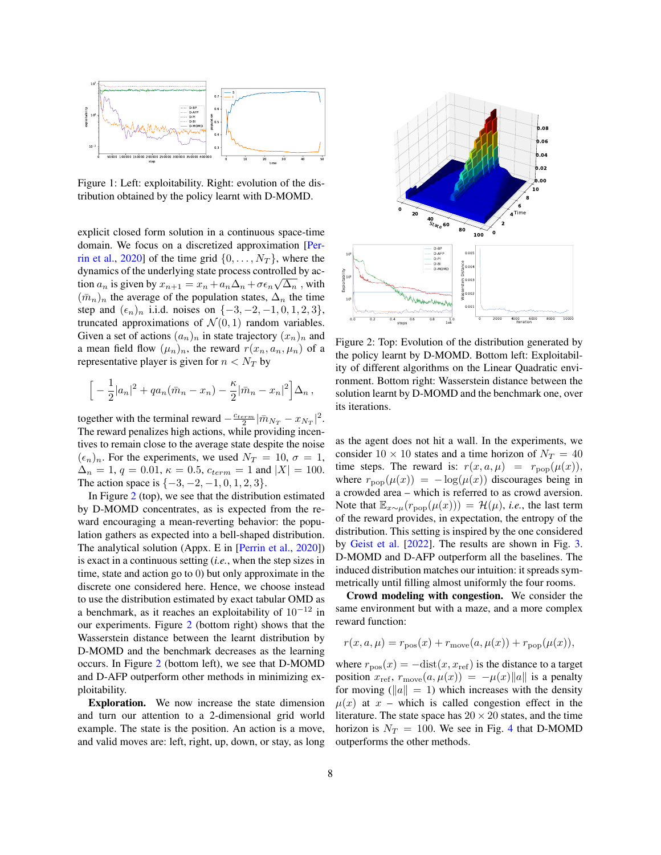<span id="page-7-0"></span>

Figure 1: Left: exploitability. Right: evolution of the distribution obtained by the policy learnt with D-MOMD.

explicit closed form solution in a continuous space-time domain. We focus on a discretized approximation [\[Per](#page-11-3)[rin et al.,](#page-11-3) [2020\]](#page-11-3) of the time grid  $\{0, \ldots, N_T\}$ , where the dynamics of the underlying state process controlled by action  $a_n$  is given by  $x_{n+1} = x_n + a_n \Delta_n + \sigma \epsilon_n \sqrt{\Delta_n}$ , with  $({\bar m}_n)_n$  the average of the population states,  $\Delta_n$  the time step and  $(\epsilon_n)_n$  i.i.d. noises on  $\{-3, -2, -1, 0, 1, 2, 3\}$ , truncated approximations of  $\mathcal{N}(0, 1)$  random variables. Given a set of actions  $(a_n)_n$  in state trajectory  $(x_n)_n$  and a mean field flow  $(\mu_n)_n$ , the reward  $r(x_n, a_n, \mu_n)$  of a representative player is given for  $n < N_T$  by

$$
\Big[-\frac{1}{2}|a_n|^2 + qa_n(\bar{m}_n - x_n) - \frac{\kappa}{2}|\bar{m}_n - x_n|^2\Big]\Delta_n,
$$

together with the terminal reward  $-\frac{c_{term}}{2}|\bar{m}_{N_T}-x_{N_T}|^2$ . The reward penalizes high actions, while providing incentives to remain close to the average state despite the noise  $(\epsilon_n)_n$ . For the experiments, we used  $N_T = 10$ ,  $\sigma = 1$ ,  $\Delta_n = 1, q = 0.01, \kappa = 0.5, c_{term} = 1$  and  $|X| = 100$ . The action space is  $\{-3, -2, -1, 0, 1, 2, 3\}.$ 

In Figure [2](#page-7-1) (top), we see that the distribution estimated by D-MOMD concentrates, as is expected from the reward encouraging a mean-reverting behavior: the population gathers as expected into a bell-shaped distribution. The analytical solution (Appx. E in [\[Perrin et al.,](#page-11-3) [2020\]](#page-11-3)) is exact in a continuous setting (*i.e.*, when the step sizes in time, state and action go to 0) but only approximate in the discrete one considered here. Hence, we choose instead to use the distribution estimated by exact tabular OMD as a benchmark, as it reaches an exploitability of  $10^{-12}$  in our experiments. Figure [2](#page-7-1) (bottom right) shows that the Wasserstein distance between the learnt distribution by D-MOMD and the benchmark decreases as the learning occurs. In Figure [2](#page-7-1) (bottom left), we see that D-MOMD and D-AFP outperform other methods in minimizing exploitability.

Exploration. We now increase the state dimension and turn our attention to a 2-dimensional grid world example. The state is the position. An action is a move, and valid moves are: left, right, up, down, or stay, as long

<span id="page-7-1"></span>

Figure 2: Top: Evolution of the distribution generated by the policy learnt by D-MOMD. Bottom left: Exploitability of different algorithms on the Linear Quadratic environment. Bottom right: Wasserstein distance between the solution learnt by D-MOMD and the benchmark one, over its iterations.

as the agent does not hit a wall. In the experiments, we consider  $10 \times 10$  states and a time horizon of  $N_T = 40$ time steps. The reward is:  $r(x, a, \mu) = r_{\text{pop}}(\mu(x)),$ where  $r_{\text{pop}}(\mu(x)) = -\log(\mu(x))$  discourages being in a crowded area – which is referred to as crowd aversion. Note that  $\mathbb{E}_{x \sim \mu}(r_{\text{pop}}(\mu(x))) = \mathcal{H}(\mu)$ , *i.e.*, the last term of the reward provides, in expectation, the entropy of the distribution. This setting is inspired by the one considered by [Geist et al.](#page-10-16) [\[2022\]](#page-10-16). The results are shown in Fig. [3.](#page-8-0) D-MOMD and D-AFP outperform all the baselines. The induced distribution matches our intuition: it spreads symmetrically until filling almost uniformly the four rooms.

Crowd modeling with congestion. We consider the same environment but with a maze, and a more complex reward function:

$$
r(x, a, \mu) = r_{\text{pos}}(x) + r_{\text{move}}(a, \mu(x)) + r_{\text{pop}}(\mu(x)),
$$

where  $r_{\text{pos}}(x) = -\text{dist}(x, x_{\text{ref}})$  is the distance to a target position  $x_{\text{ref}}, r_{\text{move}}(a, \mu(x)) = -\mu(x)\|a\|$  is a penalty for moving ( $||a|| = 1$ ) which increases with the density  $\mu(x)$  at x – which is called congestion effect in the literature. The state space has  $20 \times 20$  states, and the time horizon is  $N_T = 100$ . We see in Fig. [4](#page-8-1) that D-MOMD outperforms the other methods.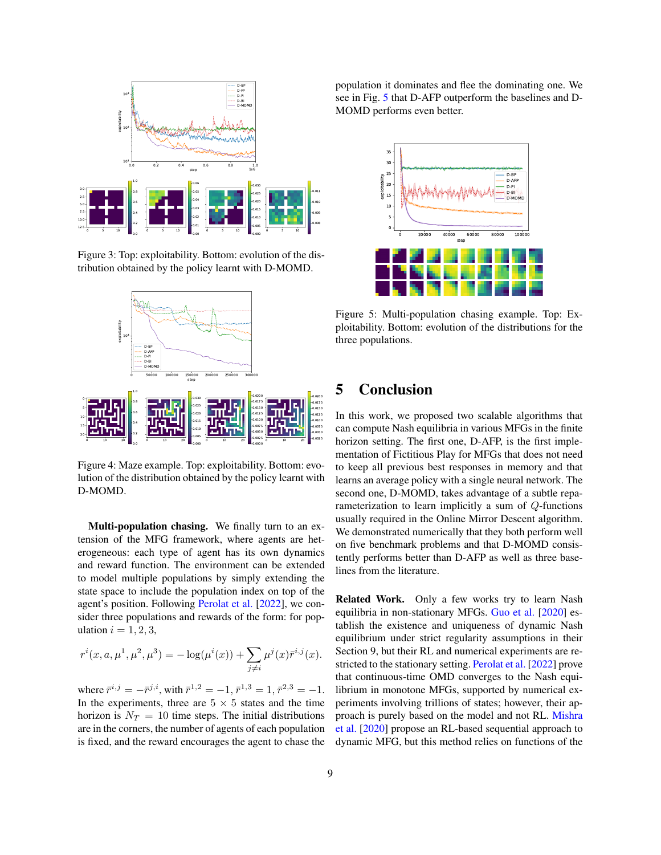<span id="page-8-0"></span>

Figure 3: Top: exploitability. Bottom: evolution of the distribution obtained by the policy learnt with D-MOMD.

<span id="page-8-1"></span>

Figure 4: Maze example. Top: exploitability. Bottom: evolution of the distribution obtained by the policy learnt with D-MOMD.

Multi-population chasing. We finally turn to an extension of the MFG framework, where agents are heterogeneous: each type of agent has its own dynamics and reward function. The environment can be extended to model multiple populations by simply extending the state space to include the population index on top of the agent's position. Following [Perolat et al.](#page-11-7) [\[2022\]](#page-11-7), we consider three populations and rewards of the form: for population  $i = 1, 2, 3$ ,

$$
r^{i}(x, a, \mu^{1}, \mu^{2}, \mu^{3}) = -\log(\mu^{i}(x)) + \sum_{j \neq i} \mu^{j}(x)\bar{r}^{i,j}(x).
$$

where  $\bar{r}^{i,j} = -\bar{r}^{j,i}$ , with  $\bar{r}^{1,2} = -1$ ,  $\bar{r}^{1,3} = 1$ ,  $\bar{r}^{2,3} = -1$ . In the experiments, three are  $5 \times 5$  states and the time horizon is  $N_T = 10$  time steps. The initial distributions are in the corners, the number of agents of each population is fixed, and the reward encourages the agent to chase the population it dominates and flee the dominating one. We see in Fig. [5](#page-8-2) that D-AFP outperform the baselines and D-MOMD performs even better.

<span id="page-8-2"></span>

Figure 5: Multi-population chasing example. Top: Exploitability. Bottom: evolution of the distributions for the three populations.

# 5 Conclusion

In this work, we proposed two scalable algorithms that can compute Nash equilibria in various MFGs in the finite horizon setting. The first one, D-AFP, is the first implementation of Fictitious Play for MFGs that does not need to keep all previous best responses in memory and that learns an average policy with a single neural network. The second one, D-MOMD, takes advantage of a subtle reparameterization to learn implicitly a sum of Q-functions usually required in the Online Mirror Descent algorithm. We demonstrated numerically that they both perform well on five benchmark problems and that D-MOMD consistently performs better than D-AFP as well as three baselines from the literature.

Related Work. Only a few works try to learn Nash equilibria in non-stationary MFGs. [Guo et al.](#page-10-20) [\[2020\]](#page-10-20) establish the existence and uniqueness of dynamic Nash equilibrium under strict regularity assumptions in their Section 9, but their RL and numerical experiments are restricted to the stationary setting. [Perolat et al.](#page-11-7) [\[2022\]](#page-11-7) prove that continuous-time OMD converges to the Nash equilibrium in monotone MFGs, supported by numerical experiments involving trillions of states; however, their approach is purely based on the model and not RL. [Mishra](#page-10-21) [et al.](#page-10-21) [\[2020\]](#page-10-21) propose an RL-based sequential approach to dynamic MFG, but this method relies on functions of the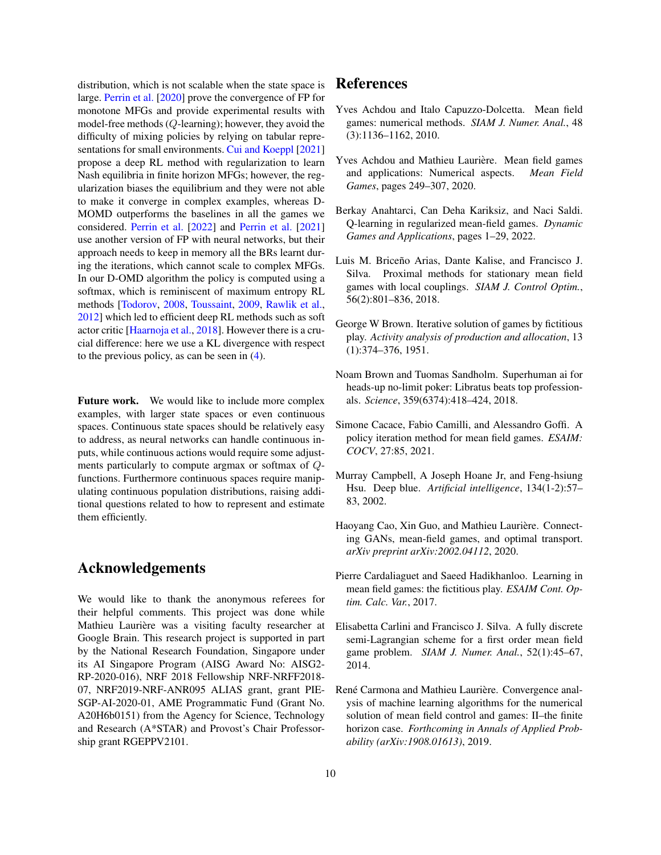distribution, which is not scalable when the state space is large. [Perrin et al.](#page-11-3) [\[2020\]](#page-11-3) prove the convergence of FP for monotone MFGs and provide experimental results with model-free methods (Q-learning); however, they avoid the difficulty of mixing policies by relying on tabular repre-sentations for small environments. [Cui and Koeppl](#page-10-11) [\[2021\]](#page-10-11) propose a deep RL method with regularization to learn Nash equilibria in finite horizon MFGs; however, the regularization biases the equilibrium and they were not able to make it converge in complex examples, whereas D-MOMD outperforms the baselines in all the games we considered. [Perrin et al.](#page-11-5) [\[2022\]](#page-11-5) and [Perrin et al.](#page-11-6) [\[2021\]](#page-11-6) use another version of FP with neural networks, but their approach needs to keep in memory all the BRs learnt during the iterations, which cannot scale to complex MFGs. In our D-OMD algorithm the policy is computed using a softmax, which is reminiscent of maximum entropy RL methods [\[Todorov,](#page-11-11) [2008,](#page-11-11) [Toussaint,](#page-11-12) [2009,](#page-11-12) [Rawlik et al.,](#page-11-13) [2012\]](#page-11-13) which led to efficient deep RL methods such as soft actor critic [\[Haarnoja et al.,](#page-10-22) [2018\]](#page-10-22). However there is a crucial difference: here we use a KL divergence with respect to the previous policy, as can be seen in [\(4\)](#page-4-3).

Future work. We would like to include more complex examples, with larger state spaces or even continuous spaces. Continuous state spaces should be relatively easy to address, as neural networks can handle continuous inputs, while continuous actions would require some adjustments particularly to compute argmax or softmax of Qfunctions. Furthermore continuous spaces require manipulating continuous population distributions, raising additional questions related to how to represent and estimate them efficiently.

### Acknowledgements

We would like to thank the anonymous referees for their helpful comments. This project was done while Mathieu Laurière was a visiting faculty researcher at Google Brain. This research project is supported in part by the National Research Foundation, Singapore under its AI Singapore Program (AISG Award No: AISG2- RP-2020-016), NRF 2018 Fellowship NRF-NRFF2018- 07, NRF2019-NRF-ANR095 ALIAS grant, grant PIE-SGP-AI-2020-01, AME Programmatic Fund (Grant No. A20H6b0151) from the Agency for Science, Technology and Research (A\*STAR) and Provost's Chair Professorship grant RGEPPV2101.

## References

- <span id="page-9-0"></span>Yves Achdou and Italo Capuzzo-Dolcetta. Mean field games: numerical methods. *SIAM J. Numer. Anal.*, 48 (3):1136–1162, 2010.
- <span id="page-9-3"></span>Yves Achdou and Mathieu Laurière. Mean field games and applications: Numerical aspects. *Mean Field Games*, pages 249–307, 2020.
- <span id="page-9-9"></span>Berkay Anahtarci, Can Deha Kariksiz, and Naci Saldi. Q-learning in regularized mean-field games. *Dynamic Games and Applications*, pages 1–29, 2022.
- <span id="page-9-2"></span>Luis M. Briceño Arias, Dante Kalise, and Francisco J. Silva. Proximal methods for stationary mean field games with local couplings. *SIAM J. Control Optim.*, 56(2):801–836, 2018.
- <span id="page-9-10"></span>George W Brown. Iterative solution of games by fictitious play. *Activity analysis of production and allocation*, 13 (1):374–376, 1951.
- <span id="page-9-7"></span>Noam Brown and Tuomas Sandholm. Superhuman ai for heads-up no-limit poker: Libratus beats top professionals. *Science*, 359(6374):418–424, 2018.
- <span id="page-9-11"></span>Simone Cacace, Fabio Camilli, and Alessandro Goffi. A policy iteration method for mean field games. *ESAIM: COCV*, 27:85, 2021.
- <span id="page-9-6"></span>Murray Campbell, A Joseph Hoane Jr, and Feng-hsiung Hsu. Deep blue. *Artificial intelligence*, 134(1-2):57– 83, 2002.
- <span id="page-9-5"></span>Haoyang Cao, Xin Guo, and Mathieu Laurière. Connecting GANs, mean-field games, and optimal transport. *arXiv preprint arXiv:2002.04112*, 2020.
- <span id="page-9-8"></span>Pierre Cardaliaguet and Saeed Hadikhanloo. Learning in mean field games: the fictitious play. *ESAIM Cont. Optim. Calc. Var.*, 2017.
- <span id="page-9-1"></span>Elisabetta Carlini and Francisco J. Silva. A fully discrete semi-Lagrangian scheme for a first order mean field game problem. *SIAM J. Numer. Anal.*, 52(1):45–67, 2014.
- <span id="page-9-4"></span>René Carmona and Mathieu Laurière. Convergence analysis of machine learning algorithms for the numerical solution of mean field control and games: II–the finite horizon case. *Forthcoming in Annals of Applied Probability (arXiv:1908.01613)*, 2019.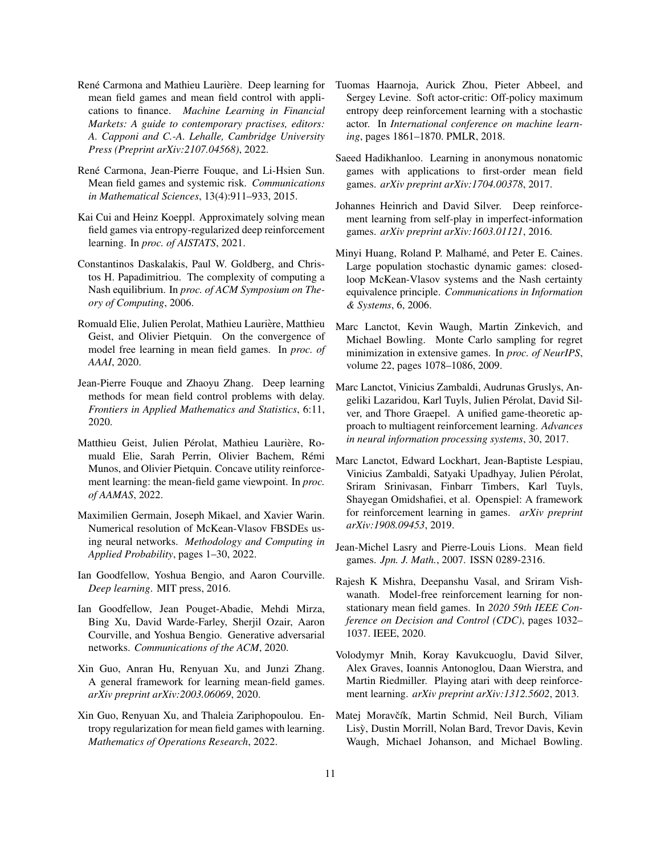- <span id="page-10-7"></span>René Carmona and Mathieu Laurière. Deep learning for mean field games and mean field control with applications to finance. *Machine Learning in Financial Markets: A guide to contemporary practises, editors: A. Capponi and C.-A. Lehalle, Cambridge University Press (Preprint arXiv:2107.04568)*, 2022.
- <span id="page-10-19"></span>René Carmona, Jean-Pierre Fouque, and Li-Hsien Sun. Mean field games and systemic risk. *Communications in Mathematical Sciences*, 13(4):911–933, 2015.
- <span id="page-10-11"></span>Kai Cui and Heinz Koeppl. Approximately solving mean field games via entropy-regularized deep reinforcement learning. In *proc. of AISTATS*, 2021.
- <span id="page-10-2"></span>Constantinos Daskalakis, Paul W. Goldberg, and Christos H. Papadimitriou. The complexity of computing a Nash equilibrium. In *proc. of ACM Symposium on Theory of Computing*, 2006.
- <span id="page-10-12"></span>Romuald Elie, Julien Perolat, Mathieu Laurière, Matthieu Geist, and Olivier Pietquin. On the convergence of model free learning in mean field games. In *proc. of AAAI*, 2020.
- <span id="page-10-5"></span>Jean-Pierre Fouque and Zhaoyu Zhang. Deep learning methods for mean field control problems with delay. *Frontiers in Applied Mathematics and Statistics*, 6:11, 2020.
- <span id="page-10-16"></span>Matthieu Geist, Julien Pérolat, Mathieu Laurière, Romuald Elie, Sarah Perrin, Olivier Bachem, Rémi Munos, and Olivier Pietquin. Concave utility reinforcement learning: the mean-field game viewpoint. In *proc. of AAMAS*, 2022.
- <span id="page-10-6"></span>Maximilien Germain, Joseph Mikael, and Xavier Warin. Numerical resolution of McKean-Vlasov FBSDEs using neural networks. *Methodology and Computing in Applied Probability*, pages 1–30, 2022.
- <span id="page-10-0"></span>Ian Goodfellow, Yoshua Bengio, and Aaron Courville. *Deep learning*. MIT press, 2016.
- <span id="page-10-1"></span>Ian Goodfellow, Jean Pouget-Abadie, Mehdi Mirza, Bing Xu, David Warde-Farley, Sherjil Ozair, Aaron Courville, and Yoshua Bengio. Generative adversarial networks. *Communications of the ACM*, 2020.
- <span id="page-10-20"></span>Xin Guo, Anran Hu, Renyuan Xu, and Junzi Zhang. A general framework for learning mean-field games. *arXiv preprint arXiv:2003.06069*, 2020.
- <span id="page-10-14"></span>Xin Guo, Renyuan Xu, and Thaleia Zariphopoulou. Entropy regularization for mean field games with learning. *Mathematics of Operations Research*, 2022.
- <span id="page-10-22"></span>Tuomas Haarnoja, Aurick Zhou, Pieter Abbeel, and Sergey Levine. Soft actor-critic: Off-policy maximum entropy deep reinforcement learning with a stochastic actor. In *International conference on machine learning*, pages 1861–1870. PMLR, 2018.
- <span id="page-10-13"></span>Saeed Hadikhanloo. Learning in anonymous nonatomic games with applications to first-order mean field games. *arXiv preprint arXiv:1704.00378*, 2017.
- <span id="page-10-15"></span>Johannes Heinrich and David Silver. Deep reinforcement learning from self-play in imperfect-information games. *arXiv preprint arXiv:1603.01121*, 2016.
- <span id="page-10-4"></span>Minyi Huang, Roland P. Malhamé, and Peter E. Caines. Large population stochastic dynamic games: closedloop McKean-Vlasov systems and the Nash certainty equivalence principle. *Communications in Information & Systems*, 6, 2006.
- <span id="page-10-18"></span>Marc Lanctot, Kevin Waugh, Martin Zinkevich, and Michael Bowling. Monte Carlo sampling for regret minimization in extensive games. In *proc. of NeurIPS*, volume 22, pages 1078–1086, 2009.
- <span id="page-10-8"></span>Marc Lanctot, Vinicius Zambaldi, Audrunas Gruslys, Angeliki Lazaridou, Karl Tuyls, Julien Pérolat, David Silver, and Thore Graepel. A unified game-theoretic approach to multiagent reinforcement learning. *Advances in neural information processing systems*, 30, 2017.
- <span id="page-10-17"></span>Marc Lanctot, Edward Lockhart, Jean-Baptiste Lespiau, Vinicius Zambaldi, Satyaki Upadhyay, Julien Pérolat, Sriram Srinivasan, Finbarr Timbers, Karl Tuyls, Shayegan Omidshafiei, et al. Openspiel: A framework for reinforcement learning in games. *arXiv preprint arXiv:1908.09453*, 2019.
- <span id="page-10-3"></span>Jean-Michel Lasry and Pierre-Louis Lions. Mean field games. *Jpn. J. Math.*, 2007. ISSN 0289-2316.
- <span id="page-10-21"></span>Rajesh K Mishra, Deepanshu Vasal, and Sriram Vishwanath. Model-free reinforcement learning for nonstationary mean field games. In *2020 59th IEEE Conference on Decision and Control (CDC)*, pages 1032– 1037. IEEE, 2020.
- <span id="page-10-9"></span>Volodymyr Mnih, Koray Kavukcuoglu, David Silver, Alex Graves, Ioannis Antonoglou, Daan Wierstra, and Martin Riedmiller. Playing atari with deep reinforcement learning. *arXiv preprint arXiv:1312.5602*, 2013.
- <span id="page-10-10"></span>Matej Moravčík, Martin Schmid, Neil Burch, Viliam Lisy, Dustin Morrill, Nolan Bard, Trevor Davis, Kevin ` Waugh, Michael Johanson, and Michael Bowling.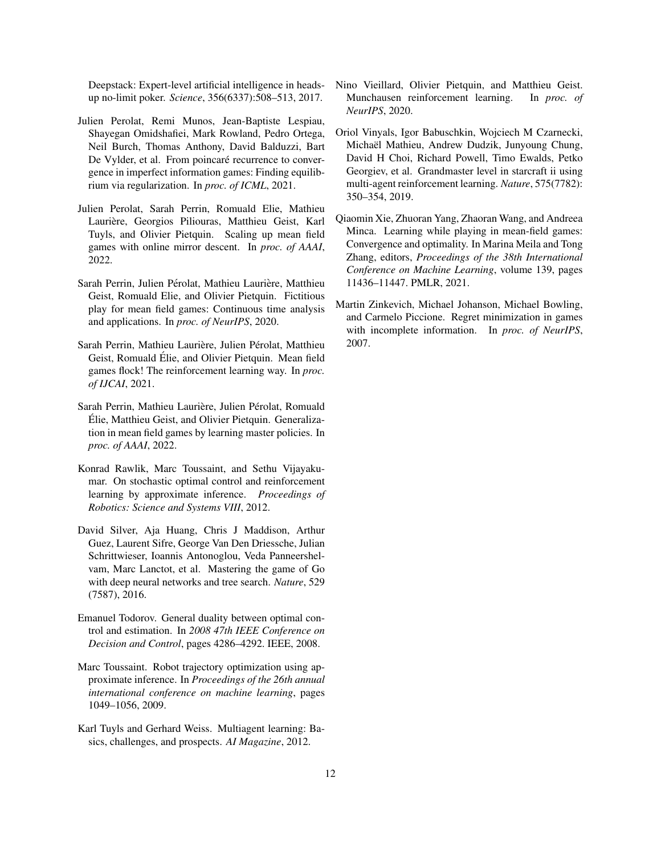Deepstack: Expert-level artificial intelligence in headsup no-limit poker. *Science*, 356(6337):508–513, 2017.

- <span id="page-11-9"></span>Julien Perolat, Remi Munos, Jean-Baptiste Lespiau, Shayegan Omidshafiei, Mark Rowland, Pedro Ortega, Neil Burch, Thomas Anthony, David Balduzzi, Bart De Vylder, et al. From poincaré recurrence to convergence in imperfect information games: Finding equilibrium via regularization. In *proc. of ICML*, 2021.
- <span id="page-11-7"></span>Julien Perolat, Sarah Perrin, Romuald Elie, Mathieu Laurière, Georgios Piliouras, Matthieu Geist, Karl Tuyls, and Olivier Pietquin. Scaling up mean field games with online mirror descent. In *proc. of AAAI*, 2022.
- <span id="page-11-3"></span>Sarah Perrin, Julien Pérolat, Mathieu Laurière, Matthieu Geist, Romuald Elie, and Olivier Pietquin. Fictitious play for mean field games: Continuous time analysis and applications. In *proc. of NeurIPS*, 2020.
- <span id="page-11-6"></span>Sarah Perrin, Mathieu Laurière, Julien Pérolat, Matthieu Geist, Romuald Elie, and Olivier Pietquin. Mean field ´ games flock! The reinforcement learning way. In *proc. of IJCAI*, 2021.
- <span id="page-11-5"></span>Sarah Perrin, Mathieu Laurière, Julien Pérolat, Romuald Elie, Matthieu Geist, and Olivier Pietquin. Generaliza- ´ tion in mean field games by learning master policies. In *proc. of AAAI*, 2022.
- <span id="page-11-13"></span>Konrad Rawlik, Marc Toussaint, and Sethu Vijayakumar. On stochastic optimal control and reinforcement learning by approximate inference. *Proceedings of Robotics: Science and Systems VIII*, 2012.
- <span id="page-11-1"></span>David Silver, Aja Huang, Chris J Maddison, Arthur Guez, Laurent Sifre, George Van Den Driessche, Julian Schrittwieser, Ioannis Antonoglou, Veda Panneershelvam, Marc Lanctot, et al. Mastering the game of Go with deep neural networks and tree search. *Nature*, 529 (7587), 2016.
- <span id="page-11-11"></span>Emanuel Todorov. General duality between optimal control and estimation. In *2008 47th IEEE Conference on Decision and Control*, pages 4286–4292. IEEE, 2008.
- <span id="page-11-12"></span>Marc Toussaint. Robot trajectory optimization using approximate inference. In *Proceedings of the 26th annual international conference on machine learning*, pages 1049–1056, 2009.
- <span id="page-11-0"></span>Karl Tuyls and Gerhard Weiss. Multiagent learning: Basics, challenges, and prospects. *AI Magazine*, 2012.
- <span id="page-11-8"></span>Nino Vieillard, Olivier Pietquin, and Matthieu Geist. Munchausen reinforcement learning. In *proc. of NeurIPS*, 2020.
- <span id="page-11-2"></span>Oriol Vinyals, Igor Babuschkin, Wojciech M Czarnecki, Michaël Mathieu, Andrew Dudzik, Junyoung Chung, David H Choi, Richard Powell, Timo Ewalds, Petko Georgiev, et al. Grandmaster level in starcraft ii using multi-agent reinforcement learning. *Nature*, 575(7782): 350–354, 2019.
- <span id="page-11-4"></span>Qiaomin Xie, Zhuoran Yang, Zhaoran Wang, and Andreea Minca. Learning while playing in mean-field games: Convergence and optimality. In Marina Meila and Tong Zhang, editors, *Proceedings of the 38th International Conference on Machine Learning*, volume 139, pages 11436–11447. PMLR, 2021.
- <span id="page-11-10"></span>Martin Zinkevich, Michael Johanson, Michael Bowling, and Carmelo Piccione. Regret minimization in games with incomplete information. In *proc. of NeurIPS*, 2007.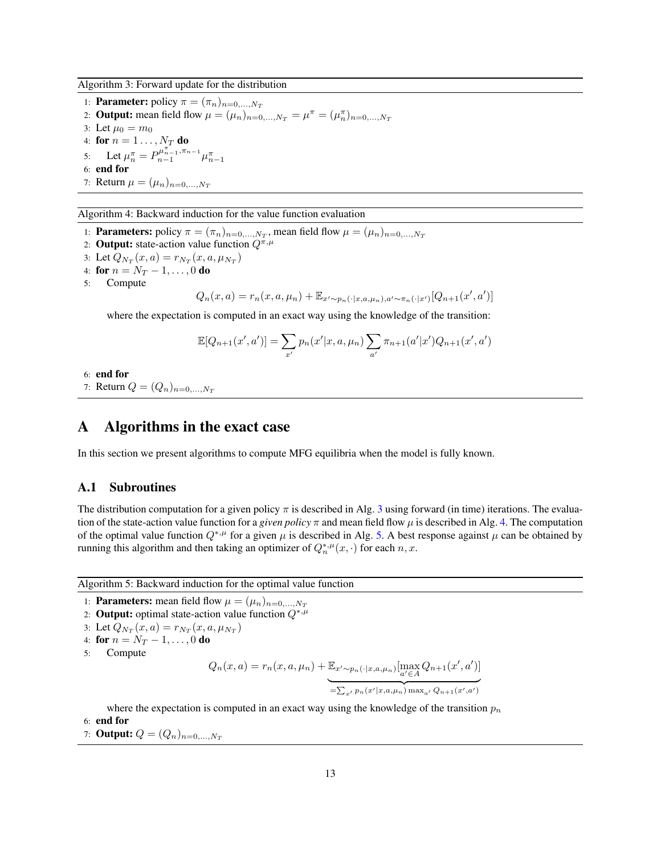<span id="page-12-0"></span>Algorithm 3: Forward update for the distribution

1: **Parameter:** policy  $\pi = (\pi_n)_{n=0,\dots,N_T}$ 2: **Output:** mean field flow  $\mu = (\mu_n)_{n=0,...,N_T} = \mu^{\pi} = (\mu_n^{\pi})_{n=0,...,N_T}$ 3: Let  $\mu_0 = m_0$ 4: **for**  $n = 1...$ ,  $N_T$  **do** 5: Let  $\mu_n^{\pi} = P_{n-1}^{\mu_{n-1}^{\pi^-}, \pi_{n-1}} \mu_{n-1}^{\pi^-}$ 6: end for 7: Return  $\mu = (\mu_n)_{n=0,...,N_T}$ 

<span id="page-12-1"></span>Algorithm 4: Backward induction for the value function evaluation

- 1: **Parameters:** policy  $\pi = (\pi_n)_{n=0,\dots,N_T}$ , mean field flow  $\mu = (\mu_n)_{n=0,\dots,N_T}$
- 2: **Output:** state-action value function  $Q^{\pi,\mu}$
- 3: Let  $Q_{N_T}(x, a) = r_{N_T}(x, a, \mu_{N_T})$ 4: for  $n = N_T - 1, \ldots, 0$  do 5: Compute

$$
Q_n(x, a) = r_n(x, a, \mu_n) + \mathbb{E}_{x' \sim p_n(\cdot | x, a, \mu_n), a' \sim \pi_n(\cdot | x')}[Q_{n+1}(x', a')]
$$

where the expectation is computed in an exact way using the knowledge of the transition:

$$
\mathbb{E}[Q_{n+1}(x',a')] = \sum_{x'} p_n(x'|x,a,\mu_n) \sum_{a'} \pi_{n+1}(a'|x') Q_{n+1}(x',a')
$$

6: end for 7: Return  $Q = (Q_n)_{n=0,...,N_T}$ 

# A Algorithms in the exact case

In this section we present algorithms to compute MFG equilibria when the model is fully known.

### A.1 Subroutines

The distribution computation for a given policy  $\pi$  is described in Alg. [3](#page-12-0) using forward (in time) iterations. The evaluation of the state-action value function for a *given policy*  $\pi$  and mean field flow  $\mu$  is described in Alg. [4.](#page-12-1) The computation of the optimal value function  $Q^{*,\mu}$  for a given  $\mu$  is described in Alg. [5.](#page-12-2) A best response against  $\mu$  can be obtained by running this algorithm and then taking an optimizer of  $Q_n^{*,\mu}(x, \cdot)$  for each  $n, x$ .

<span id="page-12-2"></span>Algorithm 5: Backward induction for the optimal value function

1: **Parameters:** mean field flow  $\mu = (\mu_n)_{n=0,...,N_T}$ 

- 2: **Output:** optimal state-action value function  $Q^{*,\mu}$
- 3: Let  $Q_{N_T}(x, a) = r_{N_T}(x, a, \mu_{N_T})$
- 4: for  $n = N_T 1, ..., 0$  do
- 5: Compute

$$
Q_n(x, a) = r_n(x, a, \mu_n) + \underbrace{\mathbb{E}_{x' \sim p_n(\cdot | x, a, \mu_n)}[\max_{a' \in A} Q_{n+1}(x', a')]}_{=\sum_{x'} p_n(x'| x, a, \mu_n) \max_{a'} Q_{n+1}(x', a')}
$$

where the expectation is computed in an exact way using the knowledge of the transition  $p_n$ 

- 6: end for
- 7: **Output:**  $Q = (Q_n)_{n=0,...,N_T}$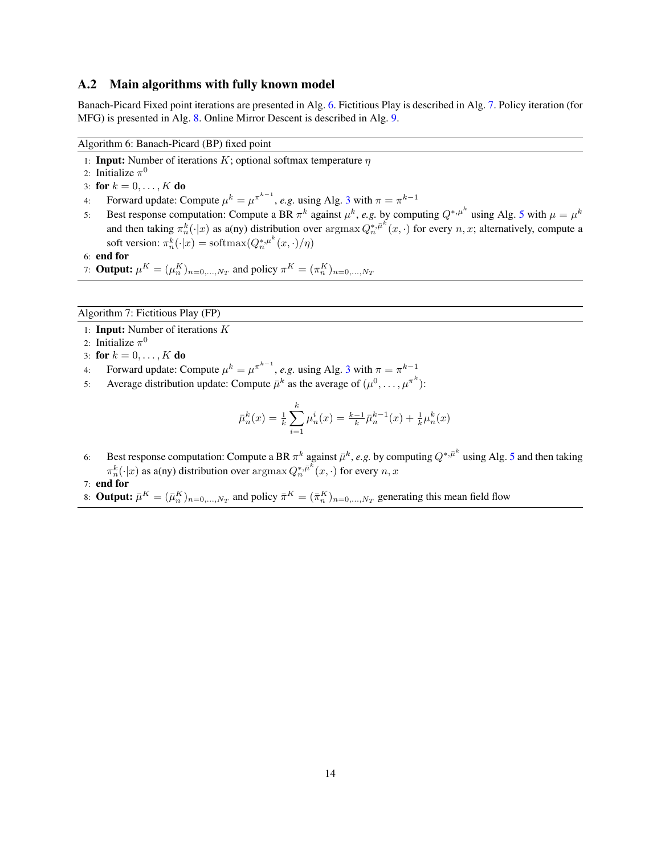#### A.2 Main algorithms with fully known model

Banach-Picard Fixed point iterations are presented in Alg. [6.](#page-13-0) Fictitious Play is described in Alg. [7.](#page-13-1) Policy iteration (for MFG) is presented in Alg. [8.](#page-14-0) Online Mirror Descent is described in Alg. [9.](#page-14-1)

<span id="page-13-0"></span>Algorithm 6: Banach-Picard (BP) fixed point

1: **Input:** Number of iterations K; optional softmax temperature  $\eta$ 

- 2: Initialize  $\pi^0$
- 3: for  $k = 0, ..., K$  do
- 4: Forward update: Compute  $\mu^k = \mu^{\pi^{k-1}}$ , *e.g.* using Alg. [3](#page-12-0) with  $\pi = \pi^{k-1}$
- [5](#page-12-2): Best response computation: Compute a BR  $\pi^k$  against  $\mu^k$ , *e.g.* by computing  $Q^{*,\mu^k}$  using Alg. 5 with  $\mu = \mu^k$ and then taking  $\pi_n^k(\cdot|x)$  as a(ny) distribution over  $\arg\max Q_n^{*,\bar{\mu}^k}(x,\cdot)$  for every  $n, x$ ; alternatively, compute a soft version:  $\pi_n^k(\cdot|x) = \text{softmax}(Q_n^{*,\mu^k}(x,\cdot)/\eta)$
- 6: end for
- 7: **Output:**  $\mu^K = (\mu^K_n)_{n=0,...,N_T}$  and policy  $\pi^K = (\pi^K_n)_{n=0,...,N_T}$

#### <span id="page-13-1"></span>Algorithm 7: Fictitious Play (FP)

- 1: Input: Number of iterations K
- 2: Initialize  $\pi^0$
- 3: for  $k = 0, \ldots, K$  do
- 4: Forward update: Compute  $\mu^k = \mu^{\pi^{k-1}}$ , *e.g.* using Alg. [3](#page-12-0) with  $\pi = \pi^{k-1}$
- 5: Average distribution update: Compute  $\bar{\mu}^k$  as the average of  $(\mu^0, \dots, \mu^{\pi^k})$ :

$$
\bar{\mu}_n^k(x) = \frac{1}{k} \sum_{i=1}^k \mu_n^i(x) = \frac{k-1}{k} \bar{\mu}_n^{k-1}(x) + \frac{1}{k} \mu_n^k(x)
$$

- 6: Best response computation: Compute a BR  $\pi^k$  against  $\bar{\mu}^k$ , *e.g.* by computing  $Q^{*,\bar{\mu}^k}$  using Alg. [5](#page-12-2) and then taking  $\pi_n^k(\cdot|x)$  as a(ny) distribution over  $\operatorname{argmax} Q_n^{*,\bar{\mu}^k}(x,\cdot)$  for every  $n,x$
- 7: end for
- 8: **Output:**  $\bar{\mu}^K = (\bar{\mu}_n^K)_{n=0,\dots,N_T}$  and policy  $\bar{\pi}^K = (\bar{\pi}_n^K)_{n=0,\dots,N_T}$  generating this mean field flow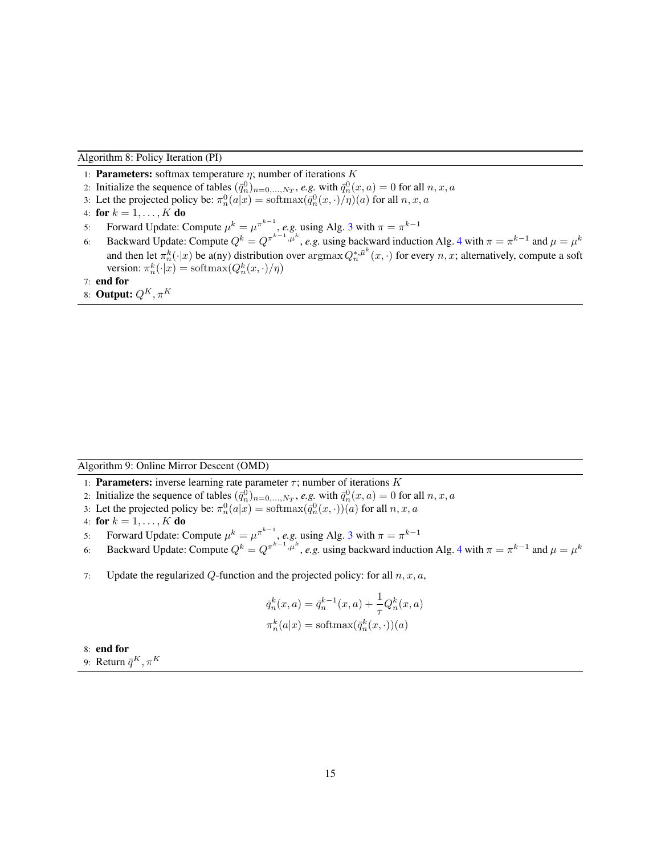<span id="page-14-0"></span>Algorithm 8: Policy Iteration (PI)

- 1: **Parameters:** softmax temperature  $\eta$ ; number of iterations K
- 2: Initialize the sequence of tables  $(\bar{q}_n^0)_{n=0,\dots,N_T}$ , *e.g.* with  $\bar{q}_n^0(x,a) = 0$  for all  $n, x, a$
- 3: Let the projected policy be:  $\pi_n^0(a|x) = \text{softmax}(\bar{q}_n^0(x, \cdot)/\eta)(a)$  for all  $n, x, a$
- 4: for  $k = 1, \ldots, K$  do
- 5: Forward Update: Compute  $\mu^k = \mu^{\pi^{k-1}}$ , *e.g.* using Alg. [3](#page-12-0) with  $\pi = \pi^{k-1}$
- 6: Backward Update: Compute  $Q^k = Q^{\pi^{k-1}, \mu^k}$ , *e.g.* using backward induction Alg. [4](#page-12-1) with  $\pi = \pi^{k-1}$  and  $\mu = \mu^k$ and then let  $\pi_n^k(\cdot|x)$  be a(ny) distribution over  $\argmax Q_n^{*,\bar{\mu}^k}(x,\cdot)$  for every  $n, x$ ; alternatively, compute a soft version:  $\pi_n^k(\cdot|x) = \text{softmax}(Q_n^k(x, \cdot)/\eta)$
- 7: end for
- 8: Output:  $Q^K, \pi^K$

<span id="page-14-1"></span>Algorithm 9: Online Mirror Descent (OMD)

- 1: **Parameters:** inverse learning rate parameter  $\tau$ ; number of iterations K
- 2: Initialize the sequence of tables  $(\bar{q}_n^0)_{n=0,\dots,N_T}$ , *e.g.* with  $\bar{q}_n^0(x,a) = 0$  for all  $n, x, a$
- 3: Let the projected policy be:  $\pi_n^0(a|x) = \text{softmax}(\bar{q}_n^0(x, \cdot))(a)$  for all  $n, x, a$
- 4: for  $k = 1, ..., K$  do
- 5: Forward Update: Compute  $\mu^k = \mu^{\pi^{k-1}}$ , *e.g.* using Alg. [3](#page-12-0) with  $\pi = \pi^{k-1}$
- 6: Backward Update: Compute  $Q^k = Q^{\pi^{k-1}, \mu^k}$ , *e.g.* using backward induction Alg. [4](#page-12-1) with  $\pi = \pi^{k-1}$  and  $\mu = \mu^k$
- 7: Update the regularized Q-function and the projected policy: for all  $n, x, a$ ,

$$
\overline{q}_n^k(x,a) = \overline{q}_n^{k-1}(x,a) + \frac{1}{\tau} Q_n^k(x,a)
$$

$$
\pi_n^k(a|x) = \text{softmax}(\overline{q}_n^k(x,\cdot))(a)
$$

8: end for

9: Return  $\bar{q}^K, \pi^K$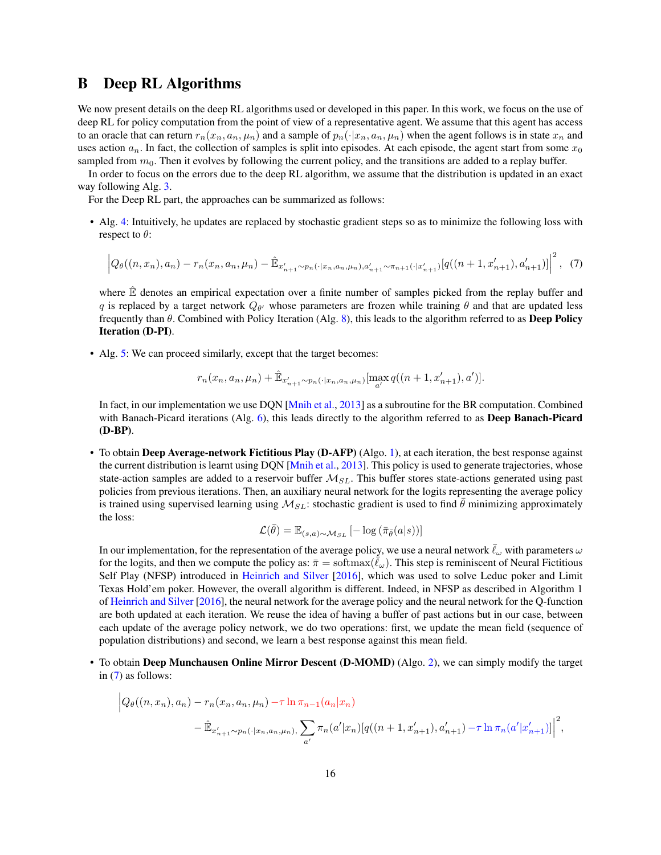### <span id="page-15-0"></span>B Deep RL Algorithms

 $\overline{\phantom{a}}$ 

We now present details on the deep RL algorithms used or developed in this paper. In this work, we focus on the use of deep RL for policy computation from the point of view of a representative agent. We assume that this agent has access to an oracle that can return  $r_n(x_n, a_n, \mu_n)$  and a sample of  $p_n(\cdot|x_n, a_n, \mu_n)$  when the agent follows is in state  $x_n$  and uses action  $a_n$ . In fact, the collection of samples is split into episodes. At each episode, the agent start from some  $x_0$ sampled from  $m_0$ . Then it evolves by following the current policy, and the transitions are added to a replay buffer.

In order to focus on the errors due to the deep RL algorithm, we assume that the distribution is updated in an exact way following Alg. [3.](#page-12-0)

For the Deep RL part, the approaches can be summarized as follows:

• Alg. [4:](#page-12-1) Intuitively, he updates are replaced by stochastic gradient steps so as to minimize the following loss with respect to  $\theta$ :

<span id="page-15-1"></span>
$$
\left| Q_{\theta}((n, x_n), a_n) - r_n(x_n, a_n, \mu_n) - \hat{\mathbb{E}}_{x'_{n+1} \sim p_n(\cdot | x_n, a_n, \mu_n), a'_{n+1} \sim \pi_{n+1}(\cdot | x'_{n+1})} [q((n+1, x'_{n+1}), a'_{n+1})] \right|^2, (7)
$$

 $\ddot{\mathbf{c}}$ 

where  $E$  denotes an empirical expectation over a finite number of samples picked from the replay buffer and q is replaced by a target network  $Q_{\theta'}$  whose parameters are frozen while training  $\theta$  and that are updated less frequently than  $\theta$ . Combined with Policy Iteration (Alg. [8\)](#page-14-0), this leads to the algorithm referred to as **Deep Policy** Iteration (D-PI).

• Alg. [5:](#page-12-2) We can proceed similarly, except that the target becomes:

$$
r_n(x_n, a_n, \mu_n) + \hat{\mathbb{E}}_{x'_{n+1} \sim p_n(\cdot | x_n, a_n, \mu_n)}[\max_{a'} q((n+1, x'_{n+1}), a')].
$$

In fact, in our implementation we use DQN [\[Mnih et al.,](#page-10-9) [2013\]](#page-10-9) as a subroutine for the BR computation. Combined with Banach-Picard iterations (Alg. [6\)](#page-13-0), this leads directly to the algorithm referred to as Deep Banach-Picard (D-BP).

• To obtain Deep Average-network Fictitious Play (D-AFP) (Algo. [1\)](#page-4-0), at each iteration, the best response against the current distribution is learnt using DQN [\[Mnih et al.,](#page-10-9) [2013\]](#page-10-9). This policy is used to generate trajectories, whose state-action samples are added to a reservoir buffer  $M_{SL}$ . This buffer stores state-actions generated using past policies from previous iterations. Then, an auxiliary neural network for the logits representing the average policy is trained using supervised learning using  $\mathcal{M}_{SL}$ : stochastic gradient is used to find  $\hat{\theta}$  minimizing approximately the loss:

$$
\mathcal{L}(\bar{\theta}) = \mathbb{E}_{(s,a)\sim\mathcal{M}_{SL}}\left[-\log\left(\bar{\pi}_{\bar{\theta}}(a|s)\right)\right]
$$

In our implementation, for the representation of the average policy, we use a neural network  $\ell_\omega$  with parameters  $\omega$ for the logits, and then we compute the policy as:  $\bar{\pi} = \text{softmax}(\bar{\ell}_{\omega})$ . This step is reminiscent of Neural Fictitious Self Play (NFSP) introduced in [Heinrich and Silver](#page-10-15) [\[2016\]](#page-10-15), which was used to solve Leduc poker and Limit Texas Hold'em poker. However, the overall algorithm is different. Indeed, in NFSP as described in Algorithm 1 of [Heinrich and Silver](#page-10-15) [\[2016\]](#page-10-15), the neural network for the average policy and the neural network for the Q-function are both updated at each iteration. We reuse the idea of having a buffer of past actions but in our case, between each update of the average policy network, we do two operations: first, we update the mean field (sequence of population distributions) and second, we learn a best response against this mean field.

• To obtain Deep Munchausen Online Mirror Descent (D-MOMD) (Algo. [2\)](#page-6-0), we can simply modify the target in [\(7\)](#page-15-1) as follows:

$$
\left| Q_{\theta}((n, x_{n}), a_{n}) - r_{n}(x_{n}, a_{n}, \mu_{n}) - \tau \ln \pi_{n-1}(a_{n}|x_{n}) - \hat{E}_{x'_{n+1} \sim p_{n}(\cdot|x_{n}, a_{n}, \mu_{n}), \sum_{a'} \pi_{n}(a'|x_{n}) [q((n+1, x'_{n+1}), a'_{n+1}) - \tau \ln \pi_{n}(a'|x'_{n+1})] \right|^{2},
$$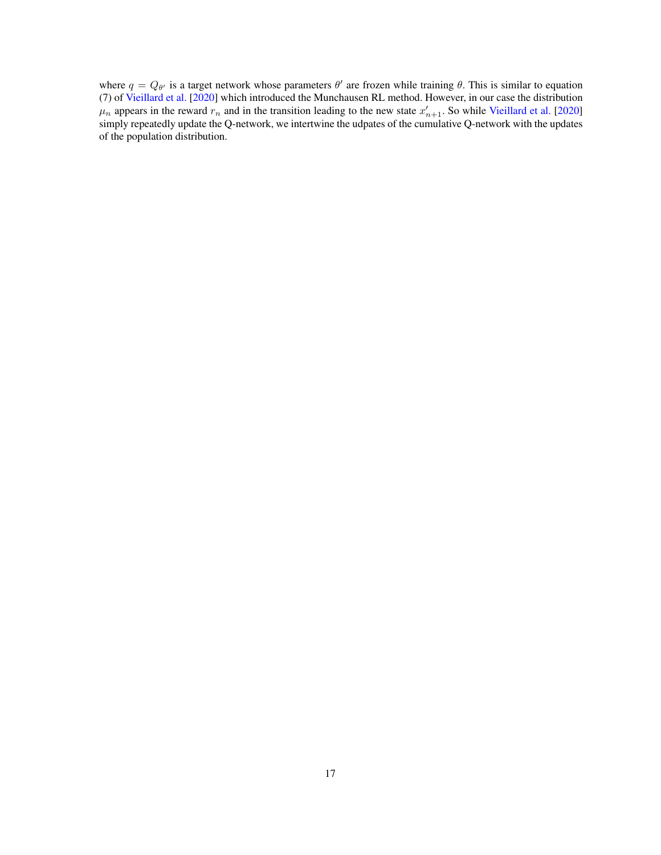where  $q = Q_{\theta'}$  is a target network whose parameters  $\theta'$  are frozen while training  $\theta$ . This is similar to equation (7) of [Vieillard et al.](#page-11-8) [\[2020\]](#page-11-8) which introduced the Munchausen RL method. However, in our case the distribution  $\mu_n$  appears in the reward  $r_n$  and in the transition leading to the new state  $x'_{n+1}$ . So while [Vieillard et al.](#page-11-8) [\[2020\]](#page-11-8) simply repeatedly update the Q-network, we intertwine the udpates of the cumulative Q-network with the updates of the population distribution.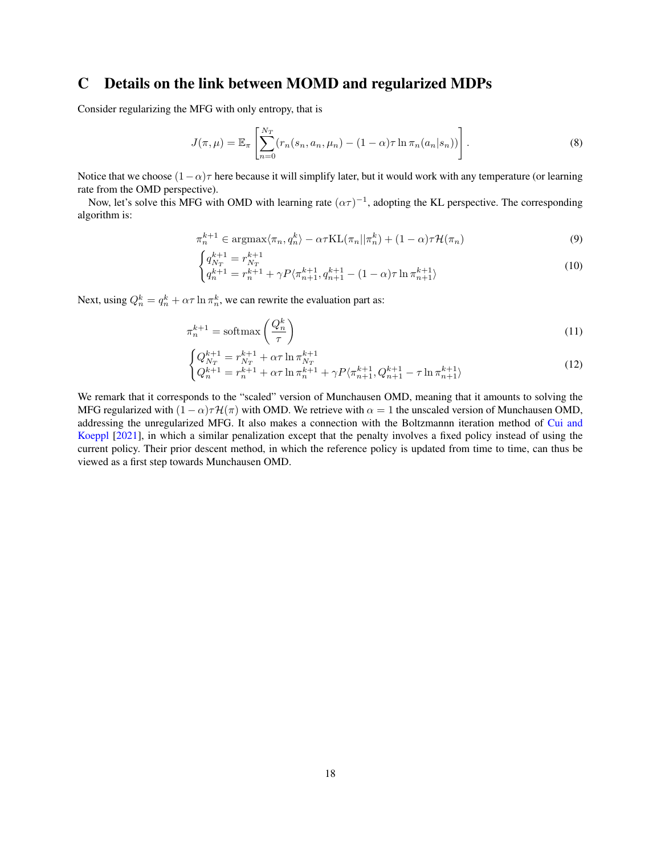# <span id="page-17-0"></span>C Details on the link between MOMD and regularized MDPs

Consider regularizing the MFG with only entropy, that is

$$
J(\pi,\mu) = \mathbb{E}_{\pi} \left[ \sum_{n=0}^{N_T} (r_n(s_n, a_n, \mu_n) - (1 - \alpha)\tau \ln \pi_n(a_n|s_n)) \right].
$$
 (8)

Notice that we choose  $(1-\alpha)\tau$  here because it will simplify later, but it would work with any temperature (or learning rate from the OMD perspective).

Now, let's solve this MFG with OMD with learning rate  $(\alpha \tau)^{-1}$ , adopting the KL perspective. The corresponding algorithm is:

$$
\pi_n^{k+1} \in \operatorname{argmax}\langle \pi_n, q_n^k \rangle - \alpha \tau \mathrm{KL}(\pi_n || \pi_n^k) + (1 - \alpha) \tau \mathcal{H}(\pi_n)
$$
\n(9)

$$
\begin{cases} q_{N_T}^{k+1} = r_{N_T}^{k+1} \\ q_n^{k+1} = r_n^{k+1} + \gamma P \langle \pi_{n+1}^{k+1}, q_{n+1}^{k+1} - (1 - \alpha) \tau \ln \pi_{n+1}^{k+1} \rangle \end{cases} \tag{10}
$$

Next, using  $Q_n^k = q_n^k + \alpha \tau \ln \pi_n^k$ , we can rewrite the evaluation part as:

$$
\pi_n^{k+1} = \operatorname{softmax}\left(\frac{Q_n^k}{\tau}\right) \tag{11}
$$

$$
\begin{cases} Q_{N_T}^{k+1} = r_{N_T}^{k+1} + \alpha \tau \ln \pi_{N_T}^{k+1} \\ Q_n^{k+1} = r_n^{k+1} + \alpha \tau \ln \pi_n^{k+1} + \gamma P \langle \pi_{n+1}^{k+1}, Q_{n+1}^{k+1} - \tau \ln \pi_{n+1}^{k+1} \rangle \end{cases} \tag{12}
$$

We remark that it corresponds to the "scaled" version of Munchausen OMD, meaning that it amounts to solving the MFG regularized with  $(1 - \alpha)\tau \mathcal{H}(\pi)$  with OMD. We retrieve with  $\alpha = 1$  the unscaled version of Munchausen OMD, addressing the unregularized MFG. It also makes a connection with the Boltzmannn iteration method of [Cui and](#page-10-11) [Koeppl](#page-10-11) [\[2021\]](#page-10-11), in which a similar penalization except that the penalty involves a fixed policy instead of using the current policy. Their prior descent method, in which the reference policy is updated from time to time, can thus be viewed as a first step towards Munchausen OMD.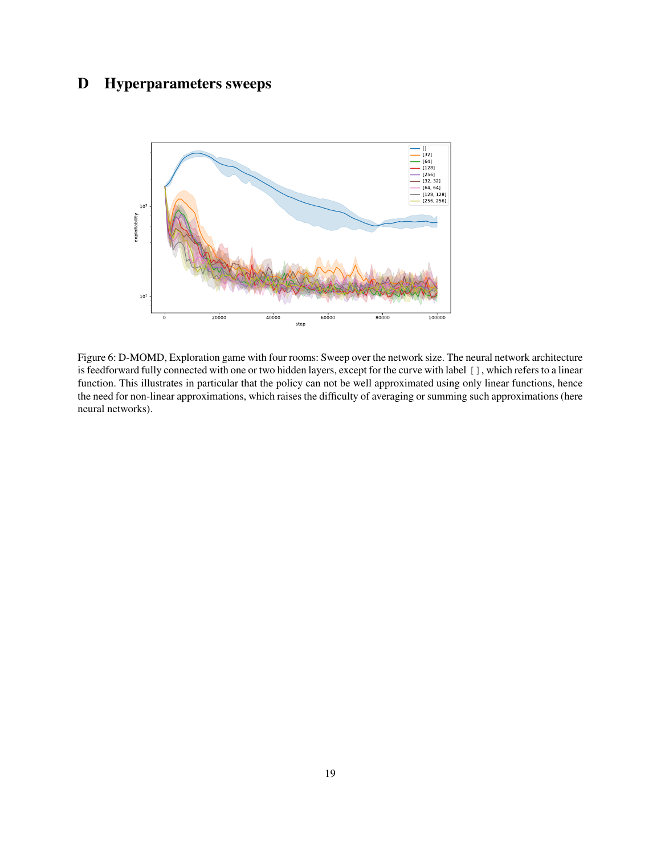# <span id="page-18-0"></span>D Hyperparameters sweeps



Figure 6: D-MOMD, Exploration game with four rooms: Sweep over the network size. The neural network architecture is feedforward fully connected with one or two hidden layers, except for the curve with label [], which refers to a linear function. This illustrates in particular that the policy can not be well approximated using only linear functions, hence the need for non-linear approximations, which raises the difficulty of averaging or summing such approximations (here neural networks).